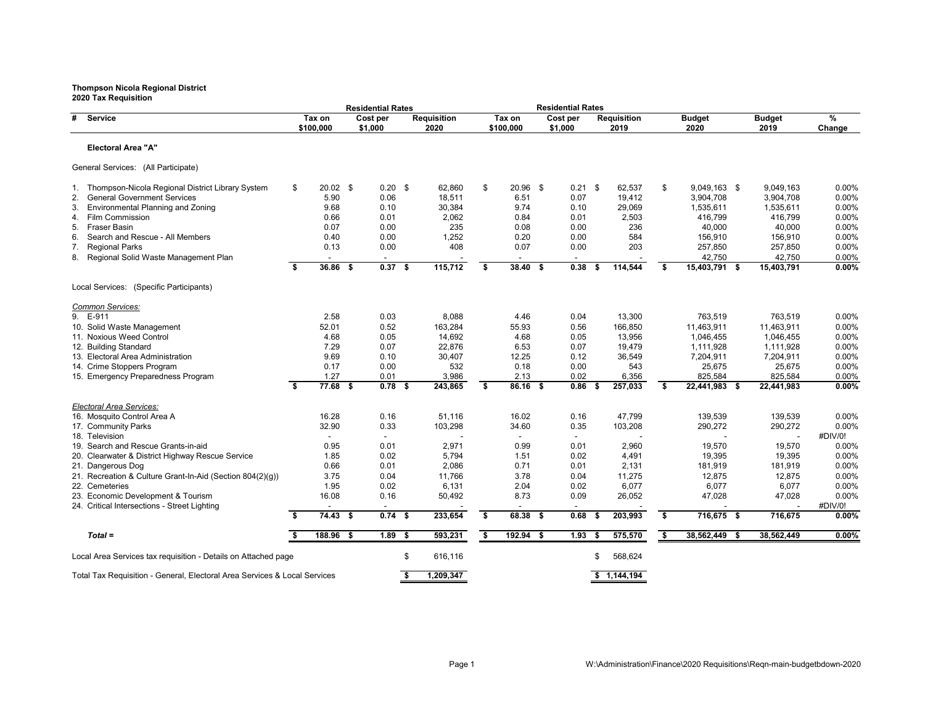| 2020 Tax Requisition                                                      |    |                     |      | <b>Residential Rates</b> |      |                            |                         |                     |      | <b>Residential Rates</b> |      |                     |                       |                       |             |
|---------------------------------------------------------------------------|----|---------------------|------|--------------------------|------|----------------------------|-------------------------|---------------------|------|--------------------------|------|---------------------|-----------------------|-----------------------|-------------|
| #<br>Service                                                              |    | Tax on<br>\$100,000 |      | Cost per<br>\$1,000      |      | <b>Requisition</b><br>2020 |                         | Tax on<br>\$100,000 |      | Cost per<br>\$1,000      |      | Requisition<br>2019 | <b>Budget</b><br>2020 | <b>Budget</b><br>2019 | %<br>Change |
| <b>Electoral Area "A"</b>                                                 |    |                     |      |                          |      |                            |                         |                     |      |                          |      |                     |                       |                       |             |
| General Services: (All Participate)                                       |    |                     |      |                          |      |                            |                         |                     |      |                          |      |                     |                       |                       |             |
| 1. Thompson-Nicola Regional District Library System                       | \$ | $20.02$ \$          |      | $0.20$ \$                |      | 62,860                     | \$                      | 20.96 \$            |      | $0.21$ \$                |      | 62,537              | \$<br>9,049,163 \$    | 9,049,163             | 0.00%       |
| <b>General Government Services</b><br>2.                                  |    | 5.90                |      | 0.06                     |      | 18,511                     |                         | 6.51                |      | 0.07                     |      | 19,412              | 3,904,708             | 3,904,708             | 0.00%       |
| Environmental Planning and Zoning<br>3.                                   |    | 9.68                |      | 0.10                     |      | 30,384                     |                         | 9.74                |      | 0.10                     |      | 29,069              | 1,535,611             | 1,535,611             | 0.00%       |
| Film Commission<br>4.                                                     |    | 0.66                |      | 0.01                     |      | 2,062                      |                         | 0.84                |      | 0.01                     |      | 2,503               | 416,799               | 416,799               | 0.00%       |
| 5.<br>Fraser Basin                                                        |    | 0.07                |      | 0.00                     |      | 235                        |                         | 0.08                |      | 0.00                     |      | 236                 | 40,000                | 40,000                | 0.00%       |
| Search and Rescue - All Members<br>6.                                     |    | 0.40                |      | 0.00                     |      | 1,252                      |                         | 0.20                |      | 0.00                     |      | 584                 | 156,910               | 156,910               | 0.00%       |
| <b>Regional Parks</b><br>7.                                               |    | 0.13                |      | 0.00                     |      | 408                        |                         | 0.07                |      | 0.00                     |      | 203                 | 257,850               | 257,850               | 0.00%       |
| Regional Solid Waste Management Plan<br>8.                                |    |                     |      |                          |      |                            |                         |                     |      |                          |      |                     | 42,750                | 42,750                | 0.00%       |
|                                                                           | \$ | 36.86               | - \$ | 0.37                     | - \$ | 115,712                    | $\overline{\mathbf{s}}$ | $38.40$ \$          |      | 0.38                     | S    | 114,544             | \$<br>15,403,791 \$   | 15,403,791            | $0.00\%$    |
| Local Services: (Specific Participants)                                   |    |                     |      |                          |      |                            |                         |                     |      |                          |      |                     |                       |                       |             |
| Common Services:                                                          |    |                     |      |                          |      |                            |                         |                     |      |                          |      |                     |                       |                       |             |
| 9. E-911                                                                  |    | 2.58                |      | 0.03                     |      | 8,088                      |                         | 4.46                |      | 0.04                     |      | 13,300              | 763,519               | 763,519               | 0.00%       |
| 10. Solid Waste Management                                                |    | 52.01               |      | 0.52                     |      | 163,284                    |                         | 55.93               |      | 0.56                     |      | 166,850             | 11,463,911            | 11,463,911            | 0.00%       |
| 11. Noxious Weed Control                                                  |    | 4.68                |      | 0.05                     |      | 14,692                     |                         | 4.68                |      | 0.05                     |      | 13,956              | 1,046,455             | 1,046,455             | 0.00%       |
| 12. Building Standard                                                     |    | 7.29                |      | 0.07                     |      | 22,876                     |                         | 6.53                |      | 0.07                     |      | 19.479              | 1,111,928             | 1,111,928             | 0.00%       |
| 13. Electoral Area Administration                                         |    | 9.69                |      | 0.10                     |      | 30,407                     |                         | 12.25               |      | 0.12                     |      | 36,549              | 7,204,911             | 7,204,911             | 0.00%       |
| 14. Crime Stoppers Program                                                |    | 0.17                |      | 0.00                     |      | 532                        |                         | 0.18                |      | 0.00                     |      | 543                 | 25,675                | 25,675                | 0.00%       |
| 15. Emergency Preparedness Program                                        |    | 1.27                |      | 0.01                     |      | 3,986                      |                         | 2.13                |      | 0.02                     |      | 6,356               | 825,584               | 825,584               | 0.00%       |
|                                                                           | \$ | $77.68$ \$          |      | $0.78$ \$                |      | 243,865                    | \$                      | $86.16$ \$          |      | 0.86                     | - \$ | 257,033             | \$<br>22,441,983 \$   | 22,441,983            | 0.00%       |
| Electoral Area Services:                                                  |    |                     |      |                          |      |                            |                         |                     |      |                          |      |                     |                       |                       |             |
| 16. Mosquito Control Area A                                               |    | 16.28               |      | 0.16                     |      | 51.116                     |                         | 16.02               |      | 0.16                     |      | 47.799              | 139,539               | 139.539               | $0.00\%$    |
| 17. Community Parks                                                       |    | 32.90               |      | 0.33                     |      | 103,298                    |                         | 34.60               |      | 0.35                     |      | 103,208             | 290,272               | 290,272               | 0.00%       |
| 18. Television                                                            |    | $\blacksquare$      |      | $\overline{\phantom{a}}$ |      |                            |                         | $\blacksquare$      |      | $\overline{\phantom{a}}$ |      |                     |                       |                       | #DIV/0!     |
| 19. Search and Rescue Grants-in-aid                                       |    | 0.95                |      | 0.01                     |      | 2,971                      |                         | 0.99                |      | 0.01                     |      | 2,960               | 19,570                | 19,570                | 0.00%       |
| 20. Clearwater & District Highway Rescue Service                          |    | 1.85                |      | 0.02                     |      | 5,794                      |                         | 1.51                |      | 0.02                     |      | 4,491               | 19,395                | 19,395                | 0.00%       |
| 21. Dangerous Dog                                                         |    | 0.66                |      | 0.01                     |      | 2,086                      |                         | 0.71                |      | 0.01                     |      | 2,131               | 181,919               | 181,919               | 0.00%       |
| 21. Recreation & Culture Grant-In-Aid (Section 804(2)(g))                 |    | 3.75                |      | 0.04                     |      | 11,766                     |                         | 3.78                |      | 0.04                     |      | 11,275              | 12,875                | 12,875                | $0.00\%$    |
| 22. Cemeteries                                                            |    | 1.95                |      | 0.02                     |      | 6,131                      |                         | 2.04                |      | 0.02                     |      | 6,077               | 6.077                 | 6.077                 | 0.00%       |
| 23. Economic Development & Tourism                                        |    | 16.08               |      | 0.16                     |      | 50,492                     |                         | 8.73                |      | 0.09                     |      | 26,052              | 47,028                | 47,028                | 0.00%       |
| 24. Critical Intersections - Street Lighting                              |    |                     |      |                          |      |                            |                         |                     |      |                          |      |                     |                       |                       | #DIV/0!     |
|                                                                           | s. | $74.43$ \$          |      | 0.74 <sup>5</sup>        |      | 233,654                    | \$                      | 68.38               | - \$ | 0.68                     | - 56 | 203,993             | \$<br>716,675 \$      | 716,675               | 0.00%       |
| $Total =$                                                                 | Ŝ. | 188.96              | - \$ | $1.89$ \$                |      | 593,231                    | \$                      | $192.94$ \$         |      | 1.93                     | - \$ | 575,570             | \$<br>38,562,449 \$   | 38,562,449            | 0.00%       |
| Local Area Services tax requisition - Details on Attached page            |    |                     |      |                          | \$   | 616.116                    |                         |                     |      |                          | \$   | 568,624             |                       |                       |             |
| Total Tax Requisition - General, Electoral Area Services & Local Services |    |                     |      |                          | Ŝ.   | 1,209,347                  |                         |                     |      |                          |      | \$1.144.194         |                       |                       |             |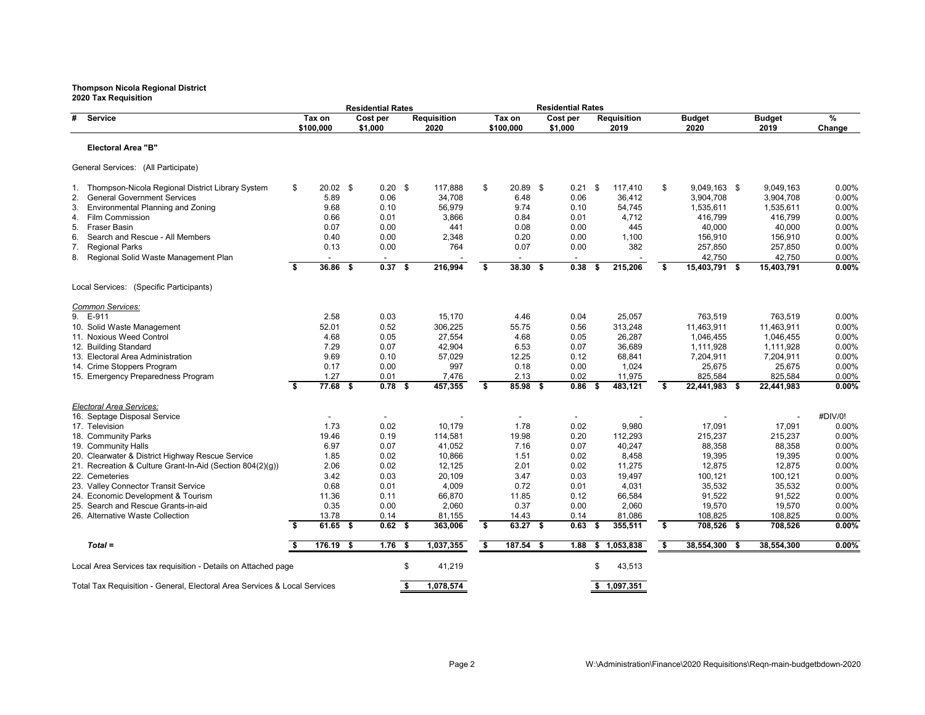|                                                                           |                         |                     | <b>Residential Rates</b> |      |                            |                         |                     | <b>Residential Rates</b> |      |                            |    |                         |     |                       |                   |
|---------------------------------------------------------------------------|-------------------------|---------------------|--------------------------|------|----------------------------|-------------------------|---------------------|--------------------------|------|----------------------------|----|-------------------------|-----|-----------------------|-------------------|
| #<br><b>Service</b>                                                       |                         | Tax on<br>\$100,000 | Cost per<br>\$1,000      |      | <b>Requisition</b><br>2020 |                         | Tax on<br>\$100,000 | Cost per<br>\$1,000      |      | <b>Requisition</b><br>2019 |    | <b>Budget</b><br>2020   |     | <b>Budget</b><br>2019 | %<br>Change       |
| <b>Electoral Area "B"</b>                                                 |                         |                     |                          |      |                            |                         |                     |                          |      |                            |    |                         |     |                       |                   |
| General Services: (All Participate)                                       |                         |                     |                          |      |                            |                         |                     |                          |      |                            |    |                         |     |                       |                   |
| 1. Thompson-Nicola Regional District Library System                       | \$                      | $20.02$ \$          | $0.20$ \$                |      | 117,888                    | \$                      | 20.89 \$            | 0.21                     | \$   | 117,410                    | \$ | 9,049,163 \$            |     | 9.049.163             | 0.00%             |
| 2.<br><b>General Government Services</b>                                  |                         | 5.89                | 0.06                     |      | 34,708                     |                         | 6.48                | 0.06                     |      | 36,412                     |    | 3,904,708               |     | 3,904,708             | $0.00\%$          |
| Environmental Planning and Zoning<br>3.                                   |                         | 9.68                | 0.10                     |      | 56,979                     |                         | 9.74                | 0.10                     |      | 54,745                     |    | 1,535,611               |     | 1,535,611             | $0.00\%$          |
| <b>Film Commission</b><br>4.                                              |                         | 0.66                | 0.01                     |      | 3,866                      |                         | 0.84                | 0.01                     |      | 4,712                      |    | 416,799                 |     | 416,799               | $0.00\%$          |
| <b>Fraser Basin</b><br>5.                                                 |                         | 0.07                | 0.00                     |      | 441                        |                         | 0.08                | 0.00                     |      | 445                        |    | 40,000                  |     | 40,000                | 0.00%             |
| Search and Rescue - All Members<br>6.                                     |                         | 0.40                | 0.00                     |      | 2,348                      |                         | 0.20                | 0.00                     |      | 1,100                      |    | 156,910                 |     | 156,910               | $0.00\%$          |
| <b>Regional Parks</b><br>7.                                               |                         | 0.13                | 0.00                     |      | 764                        |                         | 0.07                | 0.00                     |      | 382                        |    | 257,850                 |     | 257,850               | 0.00%             |
| Regional Solid Waste Management Plan<br>8.                                | s.                      | $36.86$ \$          | 0.37 <sup>5</sup>        |      | 216,994                    | Ŝ.                      | $38.30$ \$          | 0.38                     | -5   | 215,206                    | s. | 42,750<br>15,403,791 \$ |     | 42,750<br>15,403,791  | $0.00\%$<br>0.00% |
| Local Services: (Specific Participants)                                   |                         |                     |                          |      |                            |                         |                     |                          |      |                            |    |                         |     |                       |                   |
| Common Services:                                                          |                         |                     |                          |      |                            |                         |                     |                          |      |                            |    |                         |     |                       |                   |
| 9. E-911                                                                  |                         | 2.58                | 0.03                     |      | 15,170                     |                         | 4.46                | 0.04                     |      | 25,057                     |    | 763,519                 |     | 763,519               | $0.00\%$          |
| 10. Solid Waste Management                                                |                         | 52.01               | 0.52                     |      | 306,225                    |                         | 55.75               | 0.56                     |      | 313,248                    |    | 11,463,911              |     | 11,463,911            | 0.00%             |
| 11. Noxious Weed Control                                                  |                         | 4.68                | 0.05                     |      | 27,554                     |                         | 4.68                | 0.05                     |      | 26,287                     |    | 1,046,455               |     | 1,046,455             | 0.00%             |
| 12. Building Standard                                                     |                         | 7.29                | 0.07                     |      | 42,904                     |                         | 6.53                | 0.07                     |      | 36.689                     |    | 1,111,928               |     | 1,111,928             | 0.00%             |
| 13. Electoral Area Administration                                         |                         | 9.69                | 0.10                     |      | 57,029                     |                         | 12.25               | 0.12                     |      | 68,841                     |    | 7,204,911               |     | 7,204,911             | 0.00%             |
| 14. Crime Stoppers Program                                                |                         | 0.17                | 0.00                     |      | 997                        |                         | 0.18                | 0.00                     |      | 1,024                      |    | 25,675                  |     | 25,675                | 0.00%             |
| 15. Emergency Preparedness Program                                        |                         | 1.27                | 0.01                     |      | 7,476                      |                         | 2.13                | 0.02                     |      | 11,975                     |    | 825,584                 |     | 825,584               | 0.00%             |
|                                                                           | $\overline{\mathbf{s}}$ | $77.68$ \$          | $0.78$ \$                |      | 457,355                    | $\overline{\mathbf{s}}$ | 85.98 \$            | 0.86                     | - \$ | 483,121                    | \$ | 22,441,983 \$           |     | 22,441,983            | 0.00%             |
| Electoral Area Services:                                                  |                         |                     |                          |      |                            |                         |                     |                          |      |                            |    |                         |     |                       |                   |
| 16. Septage Disposal Service                                              |                         |                     |                          |      |                            |                         |                     |                          |      |                            |    |                         |     |                       | #DIV/0!           |
| 17. Television                                                            |                         | 1.73                | 0.02                     |      | 10,179                     |                         | 1.78                | 0.02                     |      | 9,980                      |    | 17,091                  |     | 17,091                | 0.00%             |
| 18. Community Parks                                                       |                         | 19.46               | 0.19                     |      | 114,581                    |                         | 19.98               | 0.20                     |      | 112,293                    |    | 215,237                 |     | 215.237               | 0.00%             |
| 19. Community Halls                                                       |                         | 6.97                | 0.07                     |      | 41,052                     |                         | 7.16                | 0.07                     |      | 40,247                     |    | 88,358                  |     | 88,358                | $0.00\%$          |
| 20. Clearwater & District Highway Rescue Service                          |                         | 1.85                | 0.02                     |      | 10,866                     |                         | 1.51                | 0.02                     |      | 8,458                      |    | 19,395                  |     | 19,395                | 0.00%             |
| 21. Recreation & Culture Grant-In-Aid (Section 804(2)(g))                 |                         | 2.06                | 0.02                     |      | 12,125                     |                         | 2.01                | 0.02                     |      | 11,275                     |    | 12,875                  |     | 12,875                | 0.00%             |
| 22. Cemeteries                                                            |                         | 3.42                | 0.03                     |      | 20,109                     |                         | 3.47                | 0.03                     |      | 19,497                     |    | 100,121                 |     | 100,121               | 0.00%             |
| 23. Valley Connector Transit Service                                      |                         | 0.68                | 0.01                     |      | 4,009                      |                         | 0.72                | 0.01                     |      | 4,031                      |    | 35,532                  |     | 35,532                | $0.00\%$          |
| 24. Economic Development & Tourism                                        |                         | 11.36               | 0.11                     |      | 66,870                     |                         | 11.85               | 0.12                     |      | 66,584                     |    | 91,522                  |     | 91,522                | 0.00%             |
| 25. Search and Rescue Grants-in-aid                                       |                         | 0.35                | 0.00                     |      | 2,060                      |                         | 0.37                | 0.00                     |      | 2,060                      |    | 19,570                  |     | 19,570                | 0.00%             |
| 26. Alternative Waste Collection                                          | \$                      | 13.78<br>$61.65$ \$ | 0.14<br>$0.62$ \$        |      | 81,155<br>363,006          | \$                      | 14.43<br>63.27 \$   | 0.14<br>0.63             | Ŝ.   | 81,086<br>355,511          | \$ | 108,825<br>708,526 \$   |     | 108,825<br>708,526    | 0.00%<br>0.00%    |
| $Total =$                                                                 | Ŝ.                      | $176.19$ \$         | 1.76                     | - \$ | 1,037,355                  | S,                      | $187.54$ \$         | 1.88                     | \$   | 1,053,838                  | s, | 38,554,300              | -\$ | 38,554,300            | 0.00%             |
|                                                                           |                         |                     |                          |      |                            |                         |                     |                          |      |                            |    |                         |     |                       |                   |
| Local Area Services tax requisition - Details on Attached page            |                         |                     |                          | \$   | 41,219                     |                         |                     |                          | \$   | 43,513                     |    |                         |     |                       |                   |
| Total Tax Requisition - General, Electoral Area Services & Local Services |                         |                     |                          | \$   | 1,078,574                  |                         |                     |                          |      | \$1,097,351                |    |                         |     |                       |                   |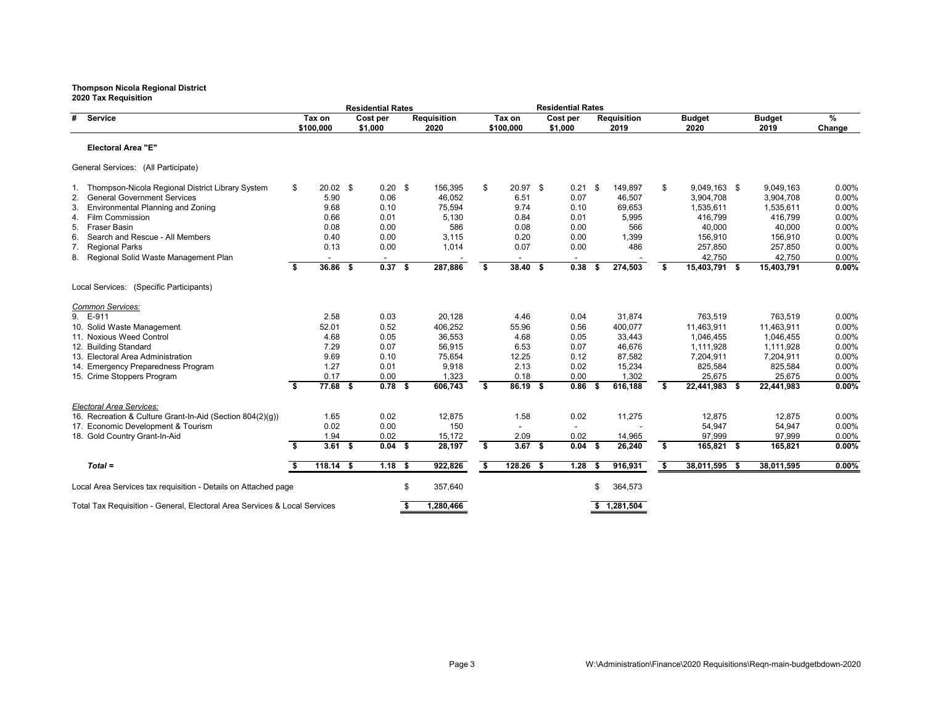|                                                                           |      |                | <b>Residential Rates</b> |    |                    |    |                          | <b>Residential Rates</b> |      |                    |                     |               |        |
|---------------------------------------------------------------------------|------|----------------|--------------------------|----|--------------------|----|--------------------------|--------------------------|------|--------------------|---------------------|---------------|--------|
| #<br><b>Service</b>                                                       |      | Tax on         | Cost per                 |    | <b>Requisition</b> |    | Tax on                   | Cost per                 |      | <b>Requisition</b> | <b>Budget</b>       | <b>Budget</b> | %      |
|                                                                           |      | \$100,000      | \$1,000                  |    | 2020               |    | \$100,000                | \$1,000                  |      | 2019               | 2020                | 2019          | Change |
| <b>Electoral Area "E"</b>                                                 |      |                |                          |    |                    |    |                          |                          |      |                    |                     |               |        |
| General Services: (All Participate)                                       |      |                |                          |    |                    |    |                          |                          |      |                    |                     |               |        |
| 1. Thompson-Nicola Regional District Library System                       | \$   | $20.02$ \$     | $0.20$ \$                |    | 156,395            | \$ | 20.97 \$                 | $0.21$ \$                |      | 149,897            | \$<br>9,049,163 \$  | 9,049,163     | 0.00%  |
| <b>General Government Services</b><br>2.                                  |      | 5.90           | 0.06                     |    | 46,052             |    | 6.51                     | 0.07                     |      | 46,507             | 3,904,708           | 3,904,708     | 0.00%  |
| Environmental Planning and Zoning<br>3.                                   |      | 9.68           | 0.10                     |    | 75,594             |    | 9.74                     | 0.10                     |      | 69,653             | 1,535,611           | 1,535,611     | 0.00%  |
| <b>Film Commission</b><br>4.                                              |      | 0.66           | 0.01                     |    | 5,130              |    | 0.84                     | 0.01                     |      | 5,995              | 416,799             | 416,799       | 0.00%  |
| Fraser Basin<br>5.                                                        |      | 0.08           | 0.00                     |    | 586                |    | 0.08                     | 0.00                     |      | 566                | 40,000              | 40,000        | 0.00%  |
| Search and Rescue - All Members<br>6.                                     |      | 0.40           | 0.00                     |    | 3,115              |    | 0.20                     | 0.00                     |      | 1,399              | 156,910             | 156,910       | 0.00%  |
| <b>Regional Parks</b><br>7.                                               |      | 0.13           | 0.00                     |    | 1,014              |    | 0.07                     | 0.00                     |      | 486                | 257,850             | 257,850       | 0.00%  |
| 8. Regional Solid Waste Management Plan                                   |      | $\blacksquare$ | $\overline{\phantom{a}}$ |    |                    |    | $\overline{\phantom{a}}$ | $\overline{\phantom{a}}$ |      |                    | 42,750              | 42,750        | 0.00%  |
|                                                                           | Ŝ.   | 36.86 \$       | $0.37$ \$                |    | 287,886            | S. | 38.40 \$                 | 0.38                     |      | 274,503            | \$<br>15,403,791 \$ | 15,403,791    | 0.00%  |
| Local Services: (Specific Participants)                                   |      |                |                          |    |                    |    |                          |                          |      |                    |                     |               |        |
| Common Services:                                                          |      |                |                          |    |                    |    |                          |                          |      |                    |                     |               |        |
| 9. E-911                                                                  |      | 2.58           | 0.03                     |    | 20,128             |    | 4.46                     | 0.04                     |      | 31,874             | 763,519             | 763,519       | 0.00%  |
| 10. Solid Waste Management                                                |      | 52.01          | 0.52                     |    | 406,252            |    | 55.96                    | 0.56                     |      | 400,077            | 11,463,911          | 11,463,911    | 0.00%  |
| 11. Noxious Weed Control                                                  |      | 4.68           | 0.05                     |    | 36,553             |    | 4.68                     | 0.05                     |      | 33.443             | 1,046,455           | 1,046,455     | 0.00%  |
| 12. Building Standard                                                     |      | 7.29           | 0.07                     |    | 56,915             |    | 6.53                     | 0.07                     |      | 46,676             | 1,111,928           | 1,111,928     | 0.00%  |
| 13. Electoral Area Administration                                         |      | 9.69           | 0.10                     |    | 75,654             |    | 12.25                    | 0.12                     |      | 87,582             | 7,204,911           | 7,204,911     | 0.00%  |
| 14. Emergency Preparedness Program                                        |      | 1.27           | 0.01                     |    | 9,918              |    | 2.13                     | 0.02                     |      | 15,234             | 825,584             | 825,584       | 0.00%  |
| 15. Crime Stoppers Program                                                |      | 0.17           | 0.00                     |    | 1,323              |    | 0.18                     | 0.00                     |      | 1,302              | 25,675              | 25,675        | 0.00%  |
|                                                                           | \$   | $77.68$ \$     | $0.78$ \$                |    | 606,743            | \$ | 86.19 \$                 | 0.86                     | - 56 | 616,188            | \$<br>22,441,983 \$ | 22,441,983    | 0.00%  |
| Electoral Area Services:                                                  |      |                |                          |    |                    |    |                          |                          |      |                    |                     |               |        |
| 16. Recreation & Culture Grant-In-Aid (Section 804(2)(g))                 |      | 1.65           | 0.02                     |    | 12,875             |    | 1.58                     | 0.02                     |      | 11,275             | 12,875              | 12,875        | 0.00%  |
| 17. Economic Development & Tourism                                        |      | 0.02           | 0.00                     |    | 150                |    |                          |                          |      |                    | 54,947              | 54,947        | 0.00%  |
| 18. Gold Country Grant-In-Aid                                             |      | 1.94           | 0.02                     |    | 15,172             |    | 2.09                     | 0.02                     |      | 14,965             | 97,999              | 97,999        | 0.00%  |
|                                                                           | \$   | 3.61 S         | 0.04S                    |    | 28,197             | \$ | 3.67 S                   | 0.04S                    |      | 26,240             | \$<br>165,821 \$    | 165,821       | 0.00%  |
| $Total =$                                                                 | - \$ | $118.14$ \$    | $1.18$ \$                |    | 922,826            | \$ | $128.26$ \$              | 1.28                     | - 5  | 916,931            | \$<br>38,011,595 \$ | 38,011,595    | 0.00%  |
| Local Area Services tax requisition - Details on Attached page            |      |                |                          | \$ | 357,640            |    |                          |                          | \$   | 364,573            |                     |               |        |
| Total Tax Requisition - General, Electoral Area Services & Local Services |      |                |                          | Ŝ. | 1,280,466          |    |                          |                          |      | \$1,281,504        |                     |               |        |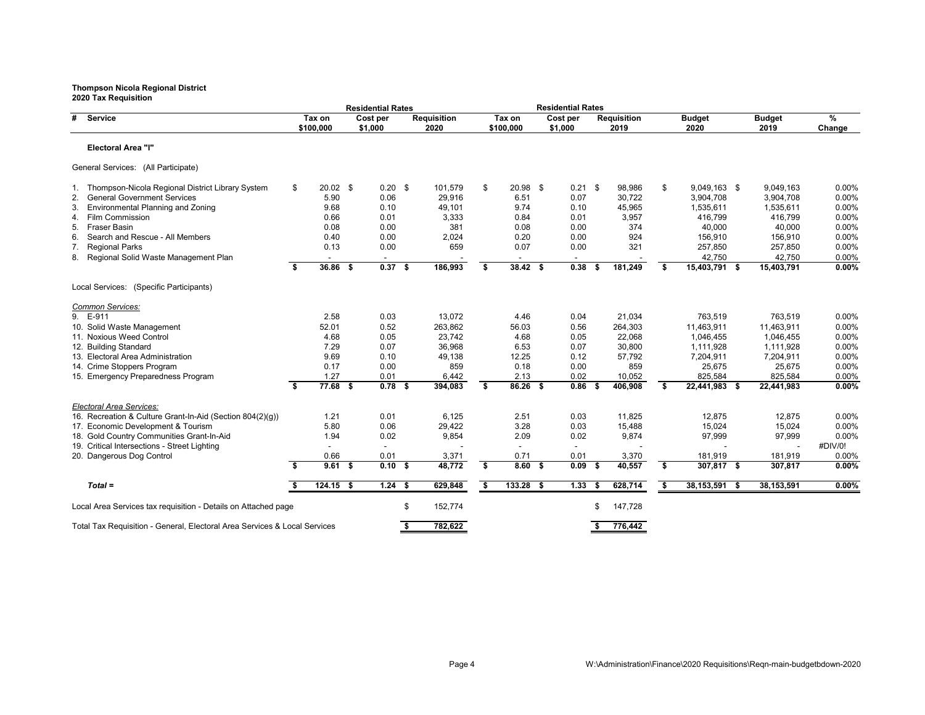|    | 2020 Tax Requisition                                                                  |    |                     |      | <b>Residential Rates</b>  |    |                            |    |                     | <b>Residential Rates</b> |      |                            |    |                          |      |                       |                |
|----|---------------------------------------------------------------------------------------|----|---------------------|------|---------------------------|----|----------------------------|----|---------------------|--------------------------|------|----------------------------|----|--------------------------|------|-----------------------|----------------|
| #  | Service                                                                               |    | Tax on<br>\$100,000 |      | Cost per<br>\$1,000       |    | <b>Requisition</b><br>2020 |    | Tax on<br>\$100,000 | Cost per<br>\$1,000      |      | <b>Requisition</b><br>2019 |    | <b>Budget</b><br>2020    |      | <b>Budget</b><br>2019 | %<br>Change    |
|    | <b>Electoral Area "I"</b>                                                             |    |                     |      |                           |    |                            |    |                     |                          |      |                            |    |                          |      |                       |                |
|    | General Services: (All Participate)                                                   |    |                     |      |                           |    |                            |    |                     |                          |      |                            |    |                          |      |                       |                |
|    | 1. Thompson-Nicola Regional District Library System                                   | \$ | $20.02$ \$          |      | $0.20$ \$                 |    | 101,579                    | \$ | $20.98$ \$          | $0.21$ \$                |      | 98,986                     | \$ | 9,049,163 \$             |      | 9,049,163             | 0.00%          |
| 2. | <b>General Government Services</b>                                                    |    | 5.90                |      | 0.06                      |    | 29,916                     |    | 6.51                | 0.07                     |      | 30,722                     |    | 3,904,708                |      | 3,904,708             | 0.00%          |
| 3. | Environmental Planning and Zoning                                                     |    | 9.68                |      | 0.10                      |    | 49,101                     |    | 9.74                | 0.10                     |      | 45,965                     |    | 1,535,611                |      | 1,535,611             | 0.00%          |
| 4. | Film Commission                                                                       |    | 0.66                |      | 0.01                      |    | 3,333                      |    | 0.84                | 0.01                     |      | 3,957                      |    | 416,799                  |      | 416,799               | 0.00%          |
| 5. | <b>Fraser Basin</b>                                                                   |    | 0.08                |      | 0.00                      |    | 381                        |    | 0.08                | 0.00                     |      | 374                        |    | 40,000                   |      | 40,000                | 0.00%          |
| 6. | Search and Rescue - All Members                                                       |    | 0.40                |      | 0.00                      |    | 2,024                      |    | 0.20                | 0.00                     |      | 924                        |    | 156,910                  |      | 156,910               | 0.00%          |
| 7. | <b>Regional Parks</b>                                                                 |    | 0.13                |      | 0.00                      |    | 659                        |    | 0.07                | 0.00                     |      | 321                        |    | 257,850                  |      | 257,850               | 0.00%          |
| 8. | Regional Solid Waste Management Plan                                                  |    |                     |      |                           |    |                            |    |                     |                          |      |                            |    | 42,750                   |      | 42,750                | 0.00%          |
|    |                                                                                       | s. | 36.86               | - \$ | 0.37S                     |    | 186.993                    | Ŝ. | 38.42 S             | 0.38                     |      | 181,249                    | s. | 15,403,791 \$            |      | 15,403,791            | 0.00%          |
|    | Local Services: (Specific Participants)                                               |    |                     |      |                           |    |                            |    |                     |                          |      |                            |    |                          |      |                       |                |
|    | Common Services:                                                                      |    |                     |      |                           |    |                            |    |                     |                          |      |                            |    |                          |      |                       |                |
|    | 9. E-911                                                                              |    | 2.58                |      | 0.03                      |    | 13,072                     |    | 4.46                | 0.04                     |      | 21,034                     |    | 763,519                  |      | 763,519               | 0.00%          |
|    | 10. Solid Waste Management                                                            |    | 52.01               |      | 0.52                      |    | 263,862                    |    | 56.03               | 0.56                     |      | 264,303                    |    | 11,463,911               |      | 11,463,911            | 0.00%          |
|    | 11. Noxious Weed Control                                                              |    | 4.68                |      | 0.05                      |    | 23,742                     |    | 4.68                | 0.05                     |      | 22,068                     |    | 1.046.455                |      | 1,046,455             | 0.00%          |
|    | 12. Building Standard                                                                 |    | 7.29                |      | 0.07                      |    | 36,968                     |    | 6.53                | 0.07                     |      | 30,800                     |    | 1,111,928                |      | 1,111,928             | 0.00%          |
|    | 13. Electoral Area Administration                                                     |    | 9.69                |      | 0.10                      |    | 49,138                     |    | 12.25               | 0.12                     |      | 57,792                     |    | 7,204,911                |      | 7,204,911             | 0.00%          |
|    | 14. Crime Stoppers Program                                                            |    | 0.17                |      | 0.00                      |    | 859                        |    | 0.18                | 0.00                     |      | 859                        |    | 25,675                   |      | 25,675                | 0.00%          |
|    | 15. Emergency Preparedness Program                                                    | \$ | 1.27<br>$77.68$ \$  |      | 0.01<br>0.78 <sup>5</sup> |    | 6,442<br>394,083           | S. | 2.13<br>86.26 \$    | 0.02<br>$0.86-5$         |      | 10,052<br>406,908          | \$ | 825,584<br>22,441,983 \$ |      | 825,584<br>22,441,983 | 0.00%<br>0.00% |
|    |                                                                                       |    |                     |      |                           |    |                            |    |                     |                          |      |                            |    |                          |      |                       |                |
|    | Electoral Area Services:<br>16. Recreation & Culture Grant-In-Aid (Section 804(2)(q)) |    | 1.21                |      | 0.01                      |    | 6,125                      |    | 2.51                | 0.03                     |      | 11,825                     |    | 12,875                   |      | 12,875                | 0.00%          |
|    | 17. Economic Development & Tourism                                                    |    | 5.80                |      | 0.06                      |    | 29,422                     |    | 3.28                | 0.03                     |      | 15,488                     |    | 15,024                   |      | 15,024                | 0.00%          |
|    | 18. Gold Country Communities Grant-In-Aid                                             |    | 1.94                |      | 0.02                      |    | 9,854                      |    | 2.09                | 0.02                     |      | 9,874                      |    | 97,999                   |      | 97,999                | 0.00%          |
|    | 19. Critical Intersections - Street Lighting                                          |    | $\blacksquare$      |      |                           |    |                            |    | $\blacksquare$      | $\overline{\phantom{a}}$ |      |                            |    |                          |      |                       | #DIV/0!        |
|    | 20. Dangerous Dog Control                                                             |    | 0.66                |      | 0.01                      |    | 3,371                      |    | 0.71                | 0.01                     |      | 3,370                      |    | 181,919                  |      | 181,919               | 0.00%          |
|    |                                                                                       | s. | 9.61 S              |      | 0.10S                     |    | 48,772                     | Ŝ. | 8.60 S              | 0.09                     | - \$ | 40,557                     | \$ | 307,817 \$               |      | 307,817               | 0.00%          |
|    | $Total =$                                                                             | \$ | $124.15$ \$         |      | $1.24$ \$                 |    | 629,848                    | \$ | $133.28$ \$         | 1.33                     | - \$ | 628,714                    | \$ | 38,153,591               | - \$ | 38, 153, 591          | $0.00\%$       |
|    |                                                                                       |    |                     |      |                           |    |                            |    |                     |                          |      |                            |    |                          |      |                       |                |
|    | Local Area Services tax requisition - Details on Attached page                        |    |                     |      |                           | \$ | 152,774                    |    |                     |                          | \$   | 147,728                    |    |                          |      |                       |                |
|    | Total Tax Requisition - General, Electoral Area Services & Local Services             |    |                     |      |                           | S. | 782,622                    |    |                     |                          | Ŝ.   | 776.442                    |    |                          |      |                       |                |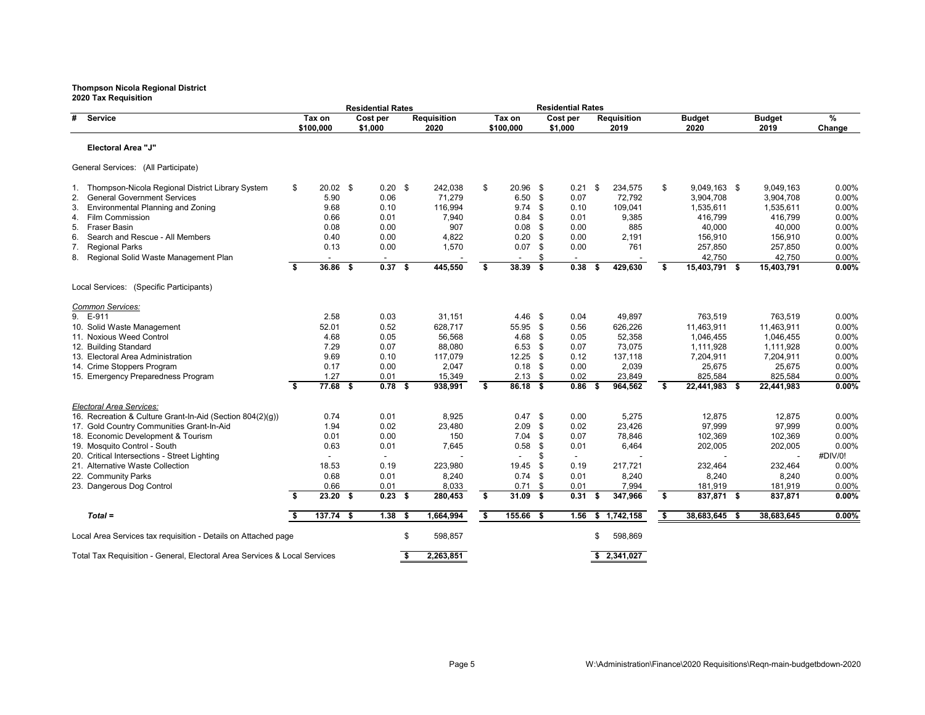| 2020 Tax Requisition                                                      |      |                     |      | <b>Residential Rates</b> |      |                            |    |                     |          | <b>Residential Rates</b> |    |                            |    |                       |                       |                         |
|---------------------------------------------------------------------------|------|---------------------|------|--------------------------|------|----------------------------|----|---------------------|----------|--------------------------|----|----------------------------|----|-----------------------|-----------------------|-------------------------|
| #<br>Service                                                              |      | Tax on<br>\$100,000 |      | Cost per<br>\$1,000      |      | <b>Requisition</b><br>2020 |    | Tax on<br>\$100,000 |          | Cost per<br>\$1,000      |    | <b>Requisition</b><br>2019 |    | <b>Budget</b><br>2020 | <b>Budget</b><br>2019 | $\frac{9}{6}$<br>Change |
| <b>Electoral Area "J"</b>                                                 |      |                     |      |                          |      |                            |    |                     |          |                          |    |                            |    |                       |                       |                         |
| General Services: (All Participate)                                       |      |                     |      |                          |      |                            |    |                     |          |                          |    |                            |    |                       |                       |                         |
| Thompson-Nicola Regional District Library System<br>1.                    | \$   | $20.02$ \$          |      | $0.20$ \$                |      | 242,038                    | \$ | 20.96               | - \$     | 0.21                     | \$ | 234,575                    | \$ | $9,049,163$ \$        | 9,049,163             | $0.00\%$                |
| <b>General Government Services</b><br>2.                                  |      | 5.90                |      | 0.06                     |      | 71,279                     |    | 6.50                | - \$     | 0.07                     |    | 72,792                     |    | 3,904,708             | 3,904,708             | 0.00%                   |
| Environmental Planning and Zoning<br>3.                                   |      | 9.68                |      | 0.10                     |      | 116,994                    |    | 9.74                | - \$     | 0.10                     |    | 109,041                    |    | 1,535,611             | 1,535,611             | 0.00%                   |
| <b>Film Commission</b><br>4.                                              |      | 0.66                |      | 0.01                     |      | 7.940                      |    | 0.84                | - \$     | 0.01                     |    | 9,385                      |    | 416.799               | 416.799               | 0.00%                   |
| <b>Fraser Basin</b><br>5.                                                 |      | 0.08                |      | 0.00                     |      | 907                        |    | 0.08                | - \$     | 0.00                     |    | 885                        |    | 40,000                | 40,000                | 0.00%                   |
| Search and Rescue - All Members<br>6.                                     |      | 0.40                |      | 0.00                     |      | 4,822                      |    | 0.20                | \$       | 0.00                     |    | 2,191                      |    | 156,910               | 156,910               | 0.00%                   |
| 7. Regional Parks                                                         |      | 0.13                |      | 0.00                     |      | 1,570                      |    | 0.07                | \$       | 0.00                     |    | 761                        |    | 257,850               | 257,850               | 0.00%                   |
| Regional Solid Waste Management Plan<br>8.                                |      |                     |      |                          |      |                            |    |                     | \$       |                          |    |                            |    | 42,750                | 42,750                | 0.00%                   |
|                                                                           | s.   | 36.86               | - \$ | 0.37S                    |      | 445,550                    | \$ | 38.39               | S.       | 0.38                     |    | 429,630                    | s. | 15,403,791 \$         | 15,403,791            | 0.00%                   |
| Local Services: (Specific Participants)                                   |      |                     |      |                          |      |                            |    |                     |          |                          |    |                            |    |                       |                       |                         |
| Common Services:                                                          |      |                     |      |                          |      |                            |    |                     |          |                          |    |                            |    |                       |                       |                         |
| 9. E-911                                                                  |      | 2.58                |      | 0.03                     |      | 31.151                     |    | 4.46                | \$       | 0.04                     |    | 49.897                     |    | 763.519               | 763.519               | 0.00%                   |
| 10. Solid Waste Management                                                |      | 52.01               |      | 0.52                     |      | 628,717                    |    | 55.95               | - \$     | 0.56                     |    | 626,226                    |    | 11,463,911            | 11,463,911            | 0.00%                   |
| 11. Noxious Weed Control                                                  |      | 4.68                |      | 0.05                     |      | 56,568                     |    | 4.68                | \$       | 0.05                     |    | 52,358                     |    | 1,046,455             | 1,046,455             | 0.00%                   |
| 12. Building Standard                                                     |      | 7.29                |      | 0.07                     |      | 88,080                     |    | $6.53$ \$           |          | 0.07                     |    | 73,075                     |    | 1,111,928             | 1,111,928             | 0.00%                   |
| 13. Electoral Area Administration                                         |      | 9.69                |      | 0.10                     |      | 117.079                    |    | 12.25               | - \$     | 0.12                     |    | 137.118                    |    | 7,204,911             | 7,204,911             | 0.00%                   |
| 14. Crime Stoppers Program                                                |      | 0.17                |      | 0.00                     |      | 2,047                      |    | 0.18                | - \$     | 0.00                     |    | 2,039                      |    | 25,675                | 25,675                | 0.00%                   |
| 15. Emergency Preparedness Program                                        |      | 1.27                |      | 0.01                     |      | 15,349                     |    | $2.13$ \$           |          | 0.02                     |    | 23,849                     |    | 825,584               | 825,584               | 0.00%                   |
|                                                                           | \$   | $77.68$ \$          |      | $0.78$ \$                |      | 938,991                    | \$ | $86.18$ \$          |          | 0.86                     | Ŝ. | 964,562                    | \$ | 22,441,983 \$         | 22,441,983            | 0.00%                   |
| Electoral Area Services:                                                  |      |                     |      |                          |      |                            |    |                     |          |                          |    |                            |    |                       |                       |                         |
| 16. Recreation & Culture Grant-In-Aid (Section 804(2)(q))                 |      | 0.74                |      | 0.01                     |      | 8,925                      |    | $0.47$ \$           |          | 0.00                     |    | 5,275                      |    | 12,875                | 12,875                | 0.00%                   |
| 17. Gold Country Communities Grant-In-Aid                                 |      | 1.94                |      | 0.02                     |      | 23,480                     |    | 2.09                | \$       | 0.02                     |    | 23,426                     |    | 97,999                | 97,999                | 0.00%                   |
| 18. Economic Development & Tourism                                        |      | 0.01                |      | 0.00                     |      | 150                        |    | 7.04                | - \$     | 0.07                     |    | 78,846                     |    | 102,369               | 102,369               | 0.00%                   |
| 19. Mosquito Control - South                                              |      | 0.63                |      | 0.01                     |      | 7,645                      |    | 0.58                | <b>S</b> | 0.01                     |    | 6,464                      |    | 202,005               | 202,005               | 0.00%                   |
| 20. Critical Intersections - Street Lighting                              |      |                     |      |                          |      |                            |    |                     | \$       |                          |    |                            |    |                       |                       | #DIV/0!                 |
| 21. Alternative Waste Collection                                          |      | 18.53               |      | 0.19                     |      | 223,980                    |    | 19.45               | - \$     | 0.19                     |    | 217,721                    |    | 232,464               | 232,464               | 0.00%                   |
| 22. Community Parks                                                       |      | 0.68                |      | 0.01                     |      | 8,240                      |    | 0.74                | <b>S</b> | 0.01                     |    | 8,240                      |    | 8,240                 | 8,240                 | 0.00%                   |
| 23. Dangerous Dog Control                                                 |      | 0.66                |      | 0.01                     |      | 8,033                      |    | 0.71                | \$       | 0.01                     |    | 7,994                      |    | 181,919               | 181,919               | 0.00%                   |
|                                                                           | s.   | $23.20$ \$          |      | $0.23$ \$                |      | 280,453                    | Ŝ. | 31.09               | - \$     | 0.31                     | S  | 347,966                    | \$ | 837,871 \$            | 837,871               | 0.00%                   |
| $Total =$                                                                 | - \$ | $137.74$ \$         |      | 1.38                     | - \$ | 1,664,994                  | \$ | 155.66              | - \$     | 1.56                     | \$ | 1,742,158                  | \$ | 38,683,645 \$         | 38,683,645            | 0.00%                   |
|                                                                           |      |                     |      |                          |      |                            |    |                     |          |                          |    |                            |    |                       |                       |                         |
| Local Area Services tax requisition - Details on Attached page            |      |                     |      |                          | \$   | 598,857                    |    |                     |          |                          | \$ | 598,869                    |    |                       |                       |                         |
| Total Tax Requisition - General, Electoral Area Services & Local Services |      |                     |      |                          | \$   | 2,263,851                  |    |                     |          |                          |    | \$2,341,027                |    |                       |                       |                         |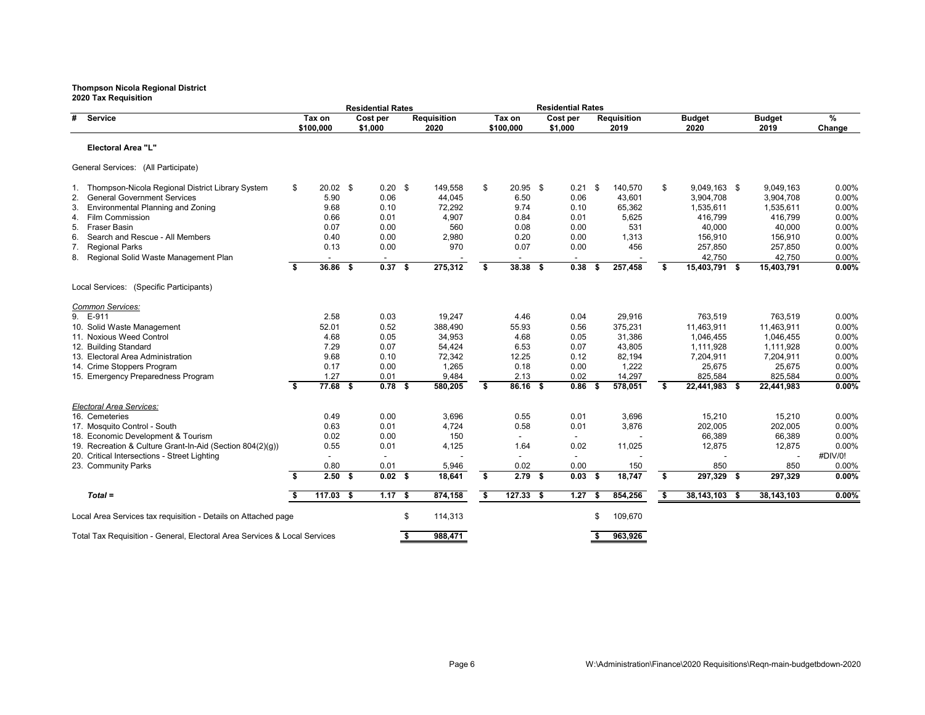|                                                                           |                         |                | <b>Residential Rates</b> |                         |                    |                         |                |      | <b>Residential Rates</b> |      |                    |     |               |    |               |          |
|---------------------------------------------------------------------------|-------------------------|----------------|--------------------------|-------------------------|--------------------|-------------------------|----------------|------|--------------------------|------|--------------------|-----|---------------|----|---------------|----------|
| #<br>Service                                                              |                         | Tax on         | Cost per                 |                         | <b>Requisition</b> |                         | Tax on         |      | Cost per                 |      | <b>Requisition</b> |     | <b>Budget</b> |    | <b>Budget</b> | %        |
|                                                                           |                         | \$100,000      | \$1,000                  |                         | 2020               |                         | \$100,000      |      | \$1,000                  |      | 2019               |     | 2020          |    | 2019          | Change   |
| Electoral Area "L"                                                        |                         |                |                          |                         |                    |                         |                |      |                          |      |                    |     |               |    |               |          |
| General Services: (All Participate)                                       |                         |                |                          |                         |                    |                         |                |      |                          |      |                    |     |               |    |               |          |
| 1. Thompson-Nicola Regional District Library System                       | \$                      | $20.02$ \$     | $0.20$ \$                |                         | 149,558            | \$                      | $20.95$ \$     |      | $0.21$ \$                |      | 140,570            | \$  | 9,049,163 \$  |    | 9,049,163     | 0.00%    |
| <b>General Government Services</b><br>2.                                  |                         | 5.90           | 0.06                     |                         | 44,045             |                         | 6.50           |      | 0.06                     |      | 43.601             |     | 3,904,708     |    | 3,904,708     | 0.00%    |
| Environmental Planning and Zoning<br>3.                                   |                         | 9.68           | 0.10                     |                         | 72,292             |                         | 9.74           |      | 0.10                     |      | 65,362             |     | 1,535,611     |    | 1,535,611     | 0.00%    |
| <b>Film Commission</b><br>4.                                              |                         | 0.66           | 0.01                     |                         | 4,907              |                         | 0.84           |      | 0.01                     |      | 5,625              |     | 416,799       |    | 416,799       | 0.00%    |
| <b>Fraser Basin</b><br>5.                                                 |                         | 0.07           | 0.00                     |                         | 560                |                         | 0.08           |      | 0.00                     |      | 531                |     | 40.000        |    | 40,000        | 0.00%    |
| Search and Rescue - All Members<br>6.                                     |                         | 0.40           | 0.00                     |                         | 2,980              |                         | 0.20           |      | 0.00                     |      | 1,313              |     | 156,910       |    | 156,910       | 0.00%    |
| <b>Regional Parks</b><br>7.                                               |                         | 0.13           | 0.00                     |                         | 970                |                         | 0.07           |      | 0.00                     |      | 456                |     | 257,850       |    | 257,850       | 0.00%    |
| 8. Regional Solid Waste Management Plan                                   |                         | $\blacksquare$ |                          |                         |                    |                         | $\blacksquare$ |      |                          |      |                    |     | 42,750        |    | 42,750        | 0.00%    |
|                                                                           | \$                      | 36.86 \$       | $0.37$ \$                |                         | 275,312            | \$                      | 38.38 \$       |      | 0.38                     | S    | 257,458            | \$  | 15,403,791 \$ |    | 15,403,791    | $0.00\%$ |
| Local Services: (Specific Participants)                                   |                         |                |                          |                         |                    |                         |                |      |                          |      |                    |     |               |    |               |          |
| Common Services:                                                          |                         |                |                          |                         |                    |                         |                |      |                          |      |                    |     |               |    |               |          |
| E-911<br>9.                                                               |                         | 2.58           | 0.03                     |                         | 19,247             |                         | 4.46           |      | 0.04                     |      | 29,916             |     | 763,519       |    | 763,519       | 0.00%    |
| 10. Solid Waste Management                                                |                         | 52.01          | 0.52                     |                         | 388.490            |                         | 55.93          |      | 0.56                     |      | 375,231            |     | 11,463,911    |    | 11,463,911    | 0.00%    |
| 11. Noxious Weed Control                                                  |                         | 4.68           | 0.05                     |                         | 34,953             |                         | 4.68           |      | 0.05                     |      | 31,386             |     | 1,046,455     |    | 1,046,455     | 0.00%    |
| 12. Building Standard                                                     |                         | 7.29           | 0.07                     |                         | 54,424             |                         | 6.53           |      | 0.07                     |      | 43,805             |     | 1,111,928     |    | 1,111,928     | 0.00%    |
| 13. Electoral Area Administration                                         |                         | 9.68           | 0.10                     |                         | 72,342             |                         | 12.25          |      | 0.12                     |      | 82.194             |     | 7,204,911     |    | 7,204,911     | 0.00%    |
| 14. Crime Stoppers Program                                                |                         | 0.17           | 0.00                     |                         | 1,265              |                         | 0.18           |      | 0.00                     |      | 1,222              |     | 25,675        |    | 25,675        | 0.00%    |
| 15. Emergency Preparedness Program                                        |                         | 1.27           | 0.01                     |                         | 9,484              |                         | 2.13           |      | 0.02                     |      | 14,297             |     | 825,584       |    | 825,584       | 0.00%    |
|                                                                           | $\overline{\mathbf{s}}$ | $77.68$ \$     | $0.78$ \$                |                         | 580,205            | $\overline{\mathbf{s}}$ | $86.16$ \$     |      | 0.86                     | - \$ | 578,051            | \$  | 22,441,983 \$ |    | 22,441,983    | 0.00%    |
| Electoral Area Services:                                                  |                         |                |                          |                         |                    |                         |                |      |                          |      |                    |     |               |    |               |          |
| 16. Cemeteries                                                            |                         | 0.49           | 0.00                     |                         | 3,696              |                         | 0.55           |      | 0.01                     |      | 3,696              |     | 15,210        |    | 15,210        | 0.00%    |
| 17. Mosquito Control - South                                              |                         | 0.63           | 0.01                     |                         | 4,724              |                         | 0.58           |      | 0.01                     |      | 3,876              |     | 202,005       |    | 202,005       | 0.00%    |
| 18. Economic Development & Tourism                                        |                         | 0.02           | 0.00                     |                         | 150                |                         |                |      |                          |      |                    |     | 66,389        |    | 66,389        | 0.00%    |
| 19. Recreation & Culture Grant-In-Aid (Section 804(2)(g))                 |                         | 0.55           | 0.01                     |                         | 4,125              |                         | 1.64           |      | 0.02                     |      | 11,025             |     | 12,875        |    | 12,875        | 0.00%    |
| 20. Critical Intersections - Street Lighting                              |                         | $\blacksquare$ | $\blacksquare$           |                         |                    |                         | $\blacksquare$ |      | $\overline{\phantom{a}}$ |      |                    |     |               |    |               | #DIV/0!  |
| 23. Community Parks                                                       |                         | 0.80           | 0.01                     |                         | 5,946              |                         | 0.02           |      | 0.00                     |      | 150                |     | 850           |    | 850           | 0.00%    |
|                                                                           | Ŝ.                      | 2.50S          | 0.02 <sup>5</sup>        |                         | 18,641             | \$                      | 2.79           | - \$ | 0.03                     | - \$ | 18,747             | \$  | 297,329 \$    |    | 297,329       | 0.00%    |
| $Total =$                                                                 | \$                      | $117.03$ \$    | 1.17S                    |                         | 874,158            | \$                      | $127.33$ \$    |      | 1.27                     | - 5  | 854,256            | -\$ | 38,143,103    | -5 | 38,143,103    | $0.00\%$ |
| Local Area Services tax requisition - Details on Attached page            |                         |                |                          | \$                      | 114,313            |                         |                |      |                          | \$.  | 109,670            |     |               |    |               |          |
|                                                                           |                         |                |                          | $\overline{\mathbf{s}}$ |                    |                         |                |      |                          |      |                    |     |               |    |               |          |
| Total Tax Requisition - General, Electoral Area Services & Local Services |                         |                |                          |                         | 988,471            |                         |                |      |                          | Ŝ.   | 963.926            |     |               |    |               |          |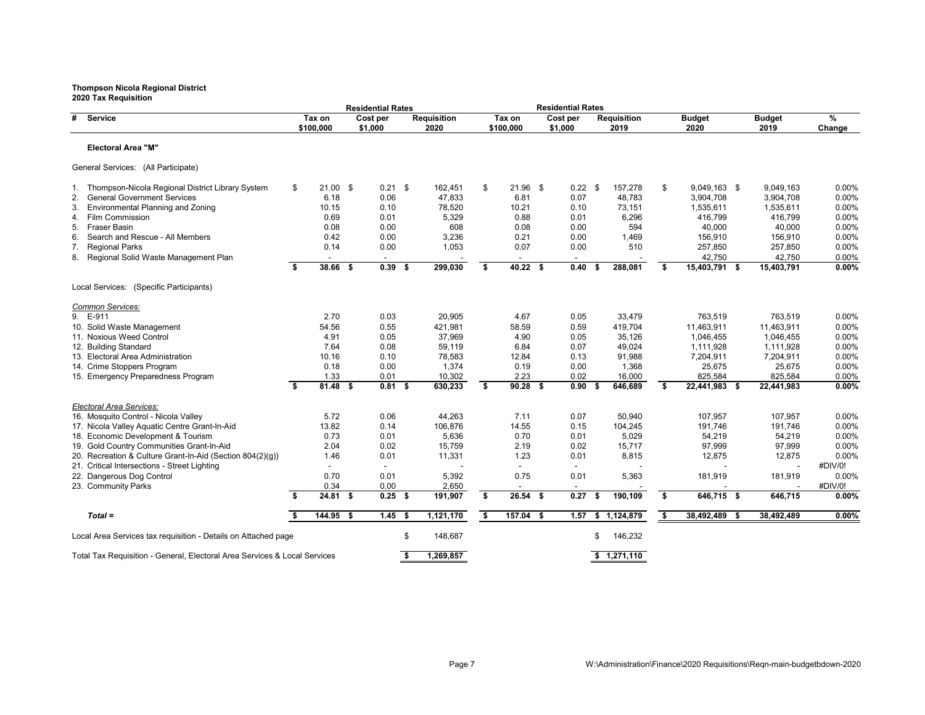| 2020 Tax Requisition                                                      |      |                     | <b>Residential Rates</b> |      |                            |    |                     |      | <b>Residential Rates</b> |    |                            |                       |      |                       |                         |
|---------------------------------------------------------------------------|------|---------------------|--------------------------|------|----------------------------|----|---------------------|------|--------------------------|----|----------------------------|-----------------------|------|-----------------------|-------------------------|
| #<br>Service                                                              |      | Tax on<br>\$100,000 | Cost per<br>\$1,000      |      | <b>Requisition</b><br>2020 |    | Tax on<br>\$100,000 |      | Cost per<br>\$1,000      |    | <b>Requisition</b><br>2019 | <b>Budget</b><br>2020 |      | <b>Budget</b><br>2019 | $\frac{9}{6}$<br>Change |
| <b>Electoral Area "M"</b>                                                 |      |                     |                          |      |                            |    |                     |      |                          |    |                            |                       |      |                       |                         |
| General Services: (All Participate)                                       |      |                     |                          |      |                            |    |                     |      |                          |    |                            |                       |      |                       |                         |
| Thompson-Nicola Regional District Library System<br>1.                    | \$   | $21.00$ \$          | $0.21$ \$                |      | 162,451                    | \$ | $21.96$ \$          |      | $0.22$ \$                |    | 157,278                    | \$<br>9,049,163 \$    |      | 9,049,163             | $0.00\%$                |
| <b>General Government Services</b><br>2.                                  |      | 6.18                | 0.06                     |      | 47,833                     |    | 6.81                |      | 0.07                     |    | 48,783                     | 3,904,708             |      | 3,904,708             | 0.00%                   |
| Environmental Planning and Zoning<br>3.                                   |      | 10.15               | 0.10                     |      | 78,520                     |    | 10.21               |      | 0.10                     |    | 73,151                     | 1,535,611             |      | 1,535,611             | 0.00%                   |
| <b>Film Commission</b><br>4.                                              |      | 0.69                | 0.01                     |      | 5,329                      |    | 0.88                |      | 0.01                     |    | 6,296                      | 416.799               |      | 416.799               | 0.00%                   |
| <b>Fraser Basin</b><br>5.                                                 |      | 0.08                | 0.00                     |      | 608                        |    | 0.08                |      | 0.00                     |    | 594                        | 40,000                |      | 40,000                | 0.00%                   |
| Search and Rescue - All Members<br>6.                                     |      | 0.42                | 0.00                     |      | 3,236                      |    | 0.21                |      | 0.00                     |    | 1,469                      | 156,910               |      | 156,910               | 0.00%                   |
| 7. Regional Parks                                                         |      | 0.14                | 0.00                     |      | 1,053                      |    | 0.07                |      | 0.00                     |    | 510                        | 257,850               |      | 257,850               | 0.00%                   |
| 8. Regional Solid Waste Management Plan                                   |      |                     |                          |      |                            |    |                     |      |                          |    |                            | 42,750                |      | 42,750                | 0.00%                   |
|                                                                           | Ŝ.   | $38.66$ \$          | 0.39                     | - \$ | 299,030                    | \$ | 40.22S              |      | 0.40                     |    | 288,081                    | \$<br>15,403,791 \$   |      | 15,403,791            | 0.00%                   |
| Local Services: (Specific Participants)                                   |      |                     |                          |      |                            |    |                     |      |                          |    |                            |                       |      |                       |                         |
| Common Services:                                                          |      |                     |                          |      |                            |    |                     |      |                          |    |                            |                       |      |                       |                         |
| 9. E-911                                                                  |      | 2.70                | 0.03                     |      | 20.905                     |    | 4.67                |      | 0.05                     |    | 33.479                     | 763.519               |      | 763.519               | 0.00%                   |
| 10. Solid Waste Management                                                |      | 54.56               | 0.55                     |      | 421,981                    |    | 58.59               |      | 0.59                     |    | 419,704                    | 11,463,911            |      | 11,463,911            | 0.00%                   |
| 11. Noxious Weed Control                                                  |      | 4.91                | 0.05                     |      | 37,969                     |    | 4.90                |      | 0.05                     |    | 35,126                     | 1,046,455             |      | 1,046,455             | 0.00%                   |
| 12. Building Standard                                                     |      | 7.64                | 0.08                     |      | 59,119                     |    | 6.84                |      | 0.07                     |    | 49,024                     | 1,111,928             |      | 1,111,928             | 0.00%                   |
| 13. Electoral Area Administration                                         |      | 10.16               | 0.10                     |      | 78,583                     |    | 12.84               |      | 0.13                     |    | 91,988                     | 7,204,911             |      | 7,204,911             | 0.00%                   |
| 14. Crime Stoppers Program                                                |      | 0.18                | 0.00                     |      | 1,374                      |    | 0.19                |      | 0.00                     |    | 1,368                      | 25,675                |      | 25,675                | 0.00%                   |
| 15. Emergency Preparedness Program                                        |      | 1.33                | 0.01                     |      | 10,302                     |    | 2.23                |      | 0.02                     |    | 16,000                     | 825,584               |      | 825,584               | 0.00%                   |
|                                                                           | \$   | $81.48$ \$          | $0.81$ \$                |      | 630,233                    | \$ | 90.28               | - \$ | 0.90                     | Ŝ. | 646,689                    | \$<br>22,441,983 \$   |      | 22,441,983            | 0.00%                   |
| Electoral Area Services:                                                  |      |                     |                          |      |                            |    |                     |      |                          |    |                            |                       |      |                       |                         |
| 16. Mosquito Control - Nicola Valley                                      |      | 5.72                | 0.06                     |      | 44,263                     |    | 7.11                |      | 0.07                     |    | 50,940                     | 107,957               |      | 107,957               | 0.00%                   |
| 17. Nicola Valley Aquatic Centre Grant-In-Aid                             |      | 13.82               | 0.14                     |      | 106,876                    |    | 14.55               |      | 0.15                     |    | 104,245                    | 191,746               |      | 191,746               | 0.00%                   |
| 18. Economic Development & Tourism                                        |      | 0.73                | 0.01                     |      | 5,636                      |    | 0.70                |      | 0.01                     |    | 5,029                      | 54,219                |      | 54,219                | 0.00%                   |
| 19. Gold Country Communities Grant-In-Aid                                 |      | 2.04                | 0.02                     |      | 15,759                     |    | 2.19                |      | 0.02                     |    | 15,717                     | 97,999                |      | 97,999                | 0.00%                   |
|                                                                           |      |                     |                          |      |                            |    |                     |      |                          |    |                            |                       |      |                       | 0.00%                   |
| 20. Recreation & Culture Grant-In-Aid (Section 804(2)(q))                 |      | 1.46                | 0.01                     |      | 11,331                     |    | 1.23                |      | 0.01                     |    | 8,815                      | 12,875                |      | 12,875                |                         |
| 21. Critical Intersections - Street Lighting                              |      |                     |                          |      |                            |    |                     |      |                          |    |                            |                       |      |                       | #DIV/0!                 |
| 22. Dangerous Dog Control                                                 |      | 0.70                | 0.01                     |      | 5,392                      |    | 0.75                |      | 0.01                     |    | 5,363                      | 181,919               |      | 181,919               | 0.00%                   |
| 23. Community Parks                                                       | s.   | 0.34<br>$24.81$ \$  | 0.00<br>$0.25$ \$        |      | 2,650<br>191,907           | Ŝ. | $26.54$ \$          |      | 0.27                     | S  | 190,109                    | \$<br>646,715 \$      |      | 646,715               | #DIV/0!<br>$0.00\%$     |
|                                                                           |      |                     |                          |      |                            |    |                     |      |                          |    |                            |                       |      |                       |                         |
| $Total =$                                                                 | - \$ | $144.95$ \$         | $1.45$ \$                |      | 1,121,170                  | \$ | $157.04$ \$         |      | 1.57                     | \$ | 1,124,879                  | \$<br>38,492,489      | - \$ | 38,492,489            | 0.00%                   |
| Local Area Services tax requisition - Details on Attached page            |      |                     |                          | \$   | 148,687                    |    |                     |      |                          | \$ | 146,232                    |                       |      |                       |                         |
| Total Tax Requisition - General, Electoral Area Services & Local Services |      |                     |                          | \$   | 1,269,857                  |    |                     |      |                          |    | \$1,271,110                |                       |      |                       |                         |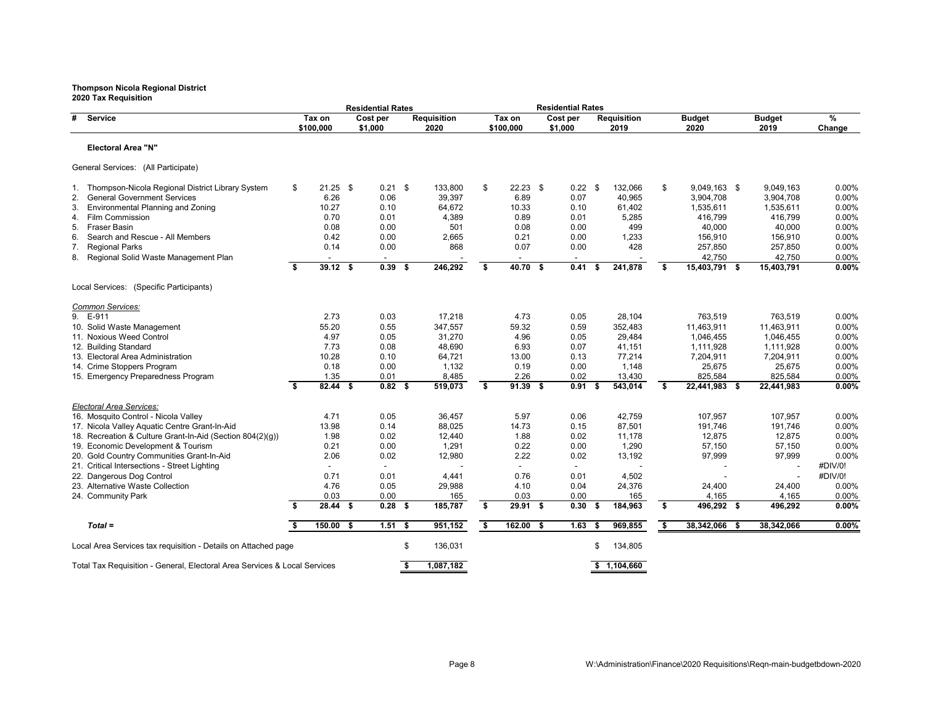|                                                                                                                                                                                                                                                                                                                            |    |                                                             |      | <b>Residential Rates</b>                                         |      |                                                                   |    |                                                             |      | <b>Residential Rates</b>                                  |      |                                                                    |                                                                                                   |   |                                                                                          |                                                                      |
|----------------------------------------------------------------------------------------------------------------------------------------------------------------------------------------------------------------------------------------------------------------------------------------------------------------------------|----|-------------------------------------------------------------|------|------------------------------------------------------------------|------|-------------------------------------------------------------------|----|-------------------------------------------------------------|------|-----------------------------------------------------------|------|--------------------------------------------------------------------|---------------------------------------------------------------------------------------------------|---|------------------------------------------------------------------------------------------|----------------------------------------------------------------------|
| #<br>Service                                                                                                                                                                                                                                                                                                               |    | Tax on<br>\$100,000                                         |      | Cost per<br>\$1,000                                              |      | <b>Requisition</b><br>2020                                        |    | Tax on<br>\$100,000                                         |      | Cost per<br>\$1,000                                       |      | <b>Requisition</b><br>2019                                         | <b>Budget</b><br>2020                                                                             |   | <b>Budget</b><br>2019                                                                    | %<br>Change                                                          |
| <b>Electoral Area "N"</b>                                                                                                                                                                                                                                                                                                  |    |                                                             |      |                                                                  |      |                                                                   |    |                                                             |      |                                                           |      |                                                                    |                                                                                                   |   |                                                                                          |                                                                      |
| General Services: (All Participate)                                                                                                                                                                                                                                                                                        |    |                                                             |      |                                                                  |      |                                                                   |    |                                                             |      |                                                           |      |                                                                    |                                                                                                   |   |                                                                                          |                                                                      |
| 1. Thompson-Nicola Regional District Library System<br><b>General Government Services</b><br>2.<br>Environmental Planning and Zoning<br>3.<br><b>Film Commission</b><br>4.<br><b>Fraser Basin</b><br>5.<br>6.<br>Search and Rescue - All Members<br><b>Regional Parks</b><br>7.<br>8. Regional Solid Waste Management Plan | \$ | $21.25$ \$<br>6.26<br>10.27<br>0.70<br>0.08<br>0.42<br>0.14 |      | $0.21$ \$<br>0.06<br>0.10<br>0.01<br>0.00<br>0.00<br>0.00        |      | 133,800<br>39.397<br>64,672<br>4,389<br>501<br>2,665<br>868       | \$ | $22.23$ \$<br>6.89<br>10.33<br>0.89<br>0.08<br>0.21<br>0.07 |      | $0.22$ \$<br>0.07<br>0.10<br>0.01<br>0.00<br>0.00<br>0.00 |      | 132,066<br>40.965<br>61,402<br>5,285<br>499<br>1,233<br>428        | \$<br>9,049,163 \$<br>3,904,708<br>1,535,611<br>416,799<br>40,000<br>156,910<br>257,850<br>42,750 |   | 9,049,163<br>3,904,708<br>1,535,611<br>416,799<br>40,000<br>156,910<br>257,850<br>42,750 | 0.00%<br>0.00%<br>0.00%<br>0.00%<br>0.00%<br>0.00%<br>0.00%<br>0.00% |
|                                                                                                                                                                                                                                                                                                                            | \$ | $39.12$ \$                                                  |      | $0.39$ \$                                                        |      | 246,292                                                           | S. | $40.70$ \$                                                  |      | 0.41                                                      | -\$  | 241,878                                                            | \$<br>15,403,791 \$                                                                               |   | 15,403,791                                                                               | 0.00%                                                                |
| Local Services: (Specific Participants)<br>Common Services:                                                                                                                                                                                                                                                                |    |                                                             |      |                                                                  |      |                                                                   |    |                                                             |      |                                                           |      |                                                                    |                                                                                                   |   |                                                                                          |                                                                      |
| 9.<br>E-911<br>10. Solid Waste Management<br>11. Noxious Weed Control<br>12. Building Standard<br>13. Electoral Area Administration<br>14. Crime Stoppers Program<br>15. Emergency Preparedness Program                                                                                                                    |    | 2.73<br>55.20<br>4.97<br>7.73<br>10.28<br>0.18<br>1.35      |      | 0.03<br>0.55<br>0.05<br>0.08<br>0.10<br>0.00<br>0.01             |      | 17,218<br>347,557<br>31,270<br>48,690<br>64,721<br>1,132<br>8,485 |    | 4.73<br>59.32<br>4.96<br>6.93<br>13.00<br>0.19<br>2.26      |      | 0.05<br>0.59<br>0.05<br>0.07<br>0.13<br>0.00<br>0.02      |      | 28,104<br>352,483<br>29.484<br>41,151<br>77,214<br>1,148<br>13,430 | 763,519<br>11,463,911<br>1.046.455<br>1,111,928<br>7,204,911<br>25,675<br>825,584                 |   | 763,519<br>11,463,911<br>1,046,455<br>1,111,928<br>7,204,911<br>25,675<br>825,584        | 0.00%<br>0.00%<br>0.00%<br>0.00%<br>0.00%<br>0.00%<br>0.00%          |
|                                                                                                                                                                                                                                                                                                                            | s. | 82.44 S                                                     |      | 0.82 <sup>5</sup>                                                |      | 519,073                                                           | \$ | 91.39S                                                      |      | 0.91S                                                     |      | 543,014                                                            | \$<br>22,441,983 \$                                                                               |   | 22,441,983                                                                               | 0.00%                                                                |
| Electoral Area Services:<br>16. Mosquito Control - Nicola Valley<br>17. Nicola Valley Aquatic Centre Grant-In-Aid<br>18. Recreation & Culture Grant-In-Aid (Section 804(2)(g))<br>19. Economic Development & Tourism<br>20. Gold Country Communities Grant-In-Aid<br>21. Critical Intersections - Street Lighting          |    | 4.71<br>13.98<br>1.98<br>0.21<br>2.06<br>$\blacksquare$     |      | 0.05<br>0.14<br>0.02<br>0.00<br>0.02<br>$\overline{\phantom{a}}$ |      | 36.457<br>88,025<br>12,440<br>1,291<br>12,980                     |    | 5.97<br>14.73<br>1.88<br>0.22<br>2.22<br>$\blacksquare$     |      | 0.06<br>0.15<br>0.02<br>0.00<br>0.02<br>$\blacksquare$    |      | 42.759<br>87,501<br>11,178<br>1,290<br>13,192                      | 107.957<br>191,746<br>12,875<br>57,150<br>97,999                                                  |   | 107.957<br>191,746<br>12,875<br>57,150<br>97,999                                         | 0.00%<br>0.00%<br>0.00%<br>0.00%<br>0.00%<br>#DIV/0!                 |
| 22. Dangerous Dog Control<br>23. Alternative Waste Collection<br>24. Community Park                                                                                                                                                                                                                                        |    | 0.71<br>4.76<br>0.03                                        |      | 0.01<br>0.05<br>0.00                                             |      | 4,441<br>29,988<br>165                                            |    | 0.76<br>4.10<br>0.03                                        |      | 0.01<br>0.04<br>0.00                                      |      | 4,502<br>24,376<br>165                                             | 24,400<br>4,165                                                                                   |   | 24,400<br>4,165                                                                          | #DIV/0!<br>0.00%<br>0.00%                                            |
|                                                                                                                                                                                                                                                                                                                            | \$ | $28.44$ \$                                                  |      | $0.28$ \$                                                        |      | 185,787                                                           | \$ | $29.91$ \$                                                  |      | 0.30                                                      | - \$ | 184,963                                                            | \$<br>496,292 \$                                                                                  |   | 496,292                                                                                  | $0.00\%$                                                             |
| $Total =$                                                                                                                                                                                                                                                                                                                  | \$ | 150.00                                                      | - \$ | 1.51                                                             | - \$ | 951,152                                                           | \$ | 162.00                                                      | - \$ | 1.63                                                      |      | 969,855                                                            | \$<br>38,342,066                                                                                  | S | 38.342.066                                                                               | 0.00%                                                                |
| Local Area Services tax requisition - Details on Attached page                                                                                                                                                                                                                                                             |    |                                                             |      |                                                                  | \$   | 136,031                                                           |    |                                                             |      |                                                           | \$   | 134,805                                                            |                                                                                                   |   |                                                                                          |                                                                      |
| Total Tax Requisition - General, Electoral Area Services & Local Services                                                                                                                                                                                                                                                  |    |                                                             |      |                                                                  | Ŝ.   | 1,087,182                                                         |    |                                                             |      |                                                           |      | \$1.104.660                                                        |                                                                                                   |   |                                                                                          |                                                                      |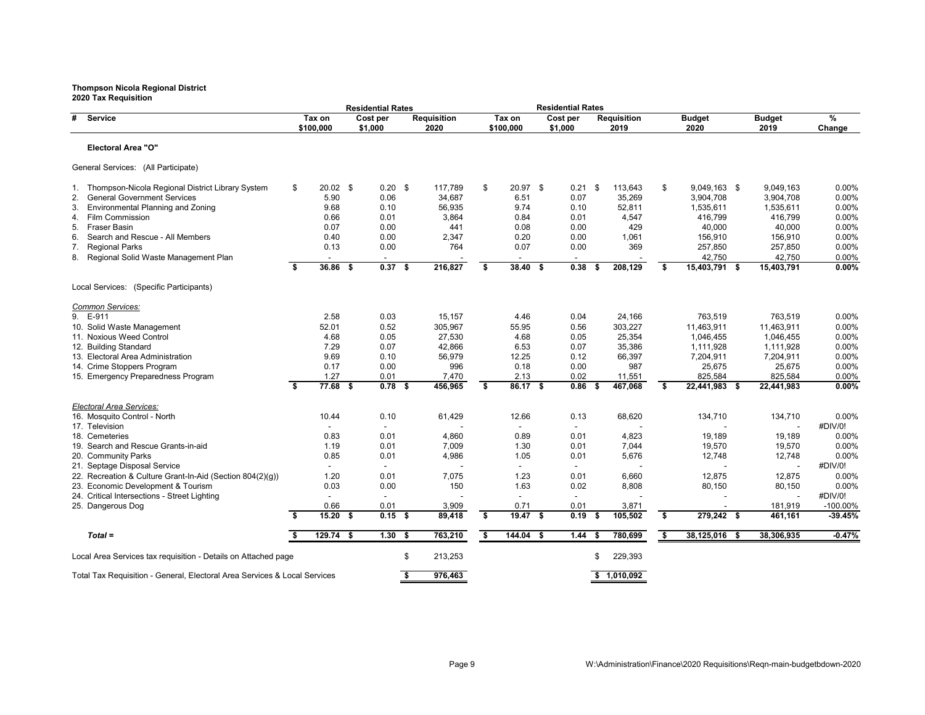| 2020 Tax Requisition                                                      |    |                     |      | <b>Residential Rates</b> |     |                            |                         |                     | <b>Residential Rates</b> |      |                            |                                  |      |                       |             |
|---------------------------------------------------------------------------|----|---------------------|------|--------------------------|-----|----------------------------|-------------------------|---------------------|--------------------------|------|----------------------------|----------------------------------|------|-----------------------|-------------|
| #<br>Service                                                              |    | Tax on<br>\$100,000 |      | Cost per<br>\$1,000      |     | <b>Requisition</b><br>2020 |                         | Tax on<br>\$100,000 | Cost per<br>\$1,000      |      | <b>Requisition</b><br>2019 | <b>Budget</b><br>2020            |      | <b>Budget</b><br>2019 | %<br>Change |
| <b>Electoral Area "O"</b>                                                 |    |                     |      |                          |     |                            |                         |                     |                          |      |                            |                                  |      |                       |             |
| General Services: (All Participate)                                       |    |                     |      |                          |     |                            |                         |                     |                          |      |                            |                                  |      |                       |             |
| 1. Thompson-Nicola Regional District Library System                       | \$ | $20.02$ \$          |      | $0.20$ \$                |     | 117,789                    | \$                      | 20.97 \$            | 0.21                     | -\$  | 113,643                    | \$<br>9,049,163 \$               |      | 9,049,163             | 0.00%       |
| <b>General Government Services</b><br>2.                                  |    | 5.90                |      | 0.06                     |     | 34,687                     |                         | 6.51                | 0.07                     |      | 35,269                     | 3,904,708                        |      | 3,904,708             | 0.00%       |
| Environmental Planning and Zoning<br>3.                                   |    | 9.68                |      | 0.10                     |     | 56,935                     |                         | 9.74                | 0.10                     |      | 52,811                     | 1,535,611                        |      | 1,535,611             | 0.00%       |
| Film Commission<br>4.                                                     |    | 0.66                |      | 0.01                     |     | 3,864                      |                         | 0.84                | 0.01                     |      | 4,547                      | 416,799                          |      | 416,799               | 0.00%       |
| <b>Fraser Basin</b><br>5.                                                 |    | 0.07                |      | 0.00                     |     | 441                        |                         | 0.08                | 0.00                     |      | 429                        | 40,000                           |      | 40,000                | 0.00%       |
| Search and Rescue - All Members<br>6.                                     |    | 0.40                |      | 0.00                     |     | 2,347                      |                         | 0.20                | 0.00                     |      | 1,061                      | 156,910                          |      | 156,910               | 0.00%       |
| <b>Regional Parks</b><br>7.                                               |    | 0.13                |      | 0.00                     |     | 764                        |                         | 0.07                | 0.00                     |      | 369                        | 257,850                          |      | 257,850               | 0.00%       |
| Regional Solid Waste Management Plan<br>8.                                |    |                     |      |                          |     |                            |                         |                     |                          |      |                            | 42,750                           |      | 42,750                | 0.00%       |
|                                                                           | \$ | $36.86$ \$          |      | 0.37                     | -\$ | 216,827                    | $\overline{\mathbf{s}}$ | $38.40$ \$          | 0.38                     | \$   | 208,129                    | \$<br>15,403,791 \$              |      | 15,403,791            | $0.00\%$    |
| Local Services: (Specific Participants)                                   |    |                     |      |                          |     |                            |                         |                     |                          |      |                            |                                  |      |                       |             |
| Common Services:                                                          |    |                     |      |                          |     |                            |                         |                     |                          |      |                            |                                  |      |                       |             |
| 9. E-911                                                                  |    | 2.58                |      | 0.03                     |     | 15,157                     |                         | 4.46                | 0.04                     |      | 24,166                     | 763,519                          |      | 763,519               | 0.00%       |
| 10. Solid Waste Management                                                |    | 52.01               |      | 0.52                     |     | 305,967                    |                         | 55.95               | 0.56                     |      | 303,227                    | 11,463,911                       |      | 11,463,911            | 0.00%       |
| 11. Noxious Weed Control                                                  |    | 4.68                |      | 0.05                     |     | 27,530                     |                         | 4.68                | 0.05                     |      | 25,354                     | 1,046,455                        |      | 1,046,455             | 0.00%       |
| 12. Building Standard                                                     |    | 7.29                |      | 0.07                     |     | 42,866                     |                         | 6.53                | 0.07                     |      | 35,386                     | 1.111.928                        |      | 1,111,928             | 0.00%       |
| 13. Electoral Area Administration                                         |    | 9.69                |      | 0.10                     |     | 56,979                     |                         | 12.25               | 0.12                     |      | 66,397                     | 7,204,911                        |      | 7,204,911             | 0.00%       |
| 14. Crime Stoppers Program                                                |    | 0.17                |      | 0.00                     |     | 996                        |                         | 0.18                | 0.00                     |      | 987                        | 25,675                           |      | 25,675                | 0.00%       |
| 15. Emergency Preparedness Program                                        |    | 1.27                |      | 0.01                     |     | 7,470                      |                         | 2.13                | 0.02                     |      | 11,551                     | 825,584                          |      | 825,584               | 0.00%       |
|                                                                           | \$ | $77.68$ \$          |      | $0.78$ \$                |     | 456,965                    | \$                      | $86.17$ \$          | 0.86                     | - \$ | 467,068                    | \$<br>$\overline{22,441,983}$ \$ |      | 22,441,983            | 0.00%       |
| Electoral Area Services:                                                  |    |                     |      |                          |     |                            |                         |                     |                          |      |                            |                                  |      |                       |             |
| 16. Mosquito Control - North                                              |    | 10.44               |      | 0.10                     |     | 61,429                     |                         | 12.66               | 0.13                     |      | 68,620                     | 134,710                          |      | 134,710               | 0.00%       |
| 17. Television                                                            |    |                     |      |                          |     |                            |                         |                     |                          |      |                            |                                  |      |                       | #DIV/0!     |
| 18. Cemeteries                                                            |    | 0.83                |      | 0.01                     |     | 4,860                      |                         | 0.89                | 0.01                     |      | 4,823                      | 19,189                           |      | 19,189                | 0.00%       |
| 19. Search and Rescue Grants-in-aid                                       |    | 1.19                |      | 0.01                     |     | 7,009                      |                         | 1.30                | 0.01                     |      | 7,044                      | 19,570                           |      | 19,570                | 0.00%       |
| 20. Community Parks                                                       |    | 0.85                |      | 0.01                     |     | 4,986                      |                         | 1.05                | 0.01                     |      | 5,676                      | 12,748                           |      | 12,748                | 0.00%       |
| 21. Septage Disposal Service                                              |    |                     |      |                          |     |                            |                         |                     |                          |      |                            |                                  |      |                       | #DIV/0!     |
| 22. Recreation & Culture Grant-In-Aid (Section 804(2)(g))                 |    | 1.20                |      | 0.01                     |     | 7,075                      |                         | 1.23                | 0.01                     |      | 6,660                      | 12,875                           |      | 12,875                | $0.00\%$    |
| 23. Economic Development & Tourism                                        |    | 0.03                |      | 0.00                     |     | 150                        |                         | 1.63                | 0.02                     |      | 8,808                      | 80,150                           |      | 80,150                | $0.00\%$    |
| 24. Critical Intersections - Street Lighting                              |    |                     |      |                          |     |                            |                         | $\blacksquare$      |                          |      |                            |                                  |      |                       | #DIV/0!     |
| 25. Dangerous Dog                                                         |    | 0.66                |      | 0.01                     |     | 3,909                      |                         | 0.71                | 0.01                     |      | 3,871                      |                                  |      | 181,919               | $-100.00\%$ |
|                                                                           | s. | 15.20               | - \$ | $0.15$ \$                |     | 89,418                     | \$                      | 19.47 S             | 0.19                     | -\$  | 105,502                    | \$<br>$279,242$ \$               |      | 461,161               | $-39.45%$   |
| $Total =$                                                                 | \$ | $129.74$ \$         |      | 1.30                     | -\$ | 763,210                    | \$                      | 144.04 \$           | 1.44                     | -9   | 780,699                    | \$<br>38,125,016                 | - \$ | 38,306,935            | $-0.47%$    |
| Local Area Services tax requisition - Details on Attached page            |    |                     |      |                          | \$  | 213,253                    |                         |                     |                          | \$   | 229,393                    |                                  |      |                       |             |
| Total Tax Requisition - General, Electoral Area Services & Local Services |    |                     |      |                          | S,  | 976.463                    |                         |                     |                          |      | \$1.010.092                |                                  |      |                       |             |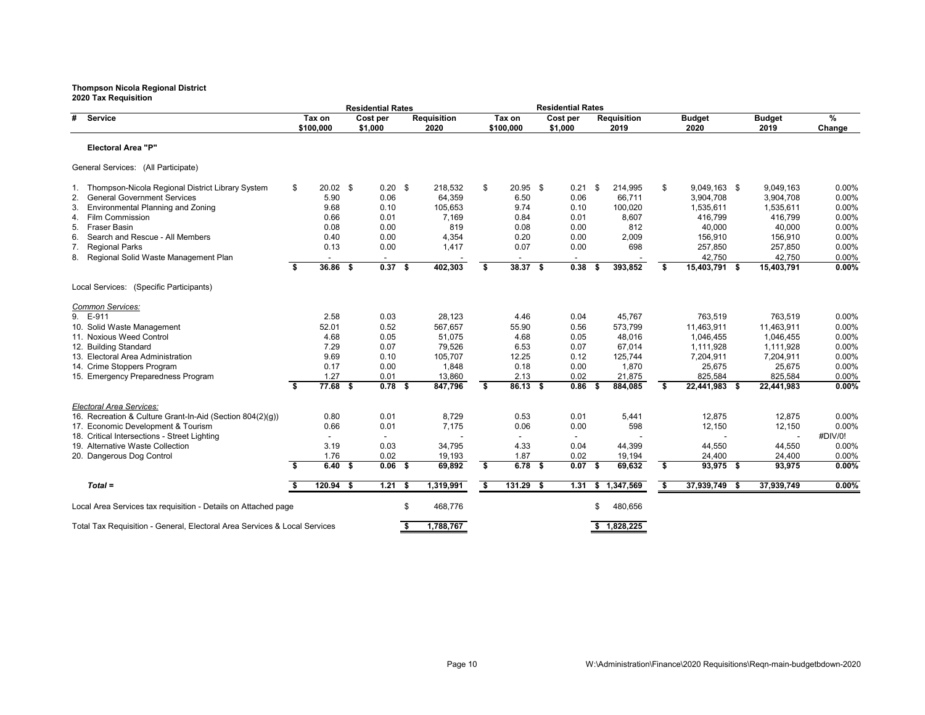|          | 2020 Tax Requisition                                                                            |    |                     |      | <b>Residential Rates</b>  |      |                            |    |                     | <b>Residential Rates</b> |      |                            |                                |                       |                |
|----------|-------------------------------------------------------------------------------------------------|----|---------------------|------|---------------------------|------|----------------------------|----|---------------------|--------------------------|------|----------------------------|--------------------------------|-----------------------|----------------|
| #        | Service                                                                                         |    | Tax on<br>\$100,000 |      | Cost per<br>\$1,000       |      | <b>Requisition</b><br>2020 |    | Tax on<br>\$100,000 | Cost per<br>\$1,000      |      | <b>Requisition</b><br>2019 | <b>Budget</b><br>2020          | <b>Budget</b><br>2019 | %<br>Change    |
|          | <b>Electoral Area "P"</b>                                                                       |    |                     |      |                           |      |                            |    |                     |                          |      |                            |                                |                       |                |
|          | General Services: (All Participate)                                                             |    |                     |      |                           |      |                            |    |                     |                          |      |                            |                                |                       |                |
|          | 1. Thompson-Nicola Regional District Library System                                             | \$ | $20.02$ \$          |      | $0.20$ \$                 |      | 218,532                    | \$ | $20.95$ \$          | $0.21$ \$                |      | 214,995                    | \$<br>9,049,163 \$             | 9,049,163             | 0.00%          |
| 2.       | <b>General Government Services</b>                                                              |    | 5.90                |      | 0.06                      |      | 64,359                     |    | 6.50                | 0.06                     |      | 66.711                     | 3,904,708                      | 3,904,708             | 0.00%          |
| 3.       | Environmental Planning and Zoning                                                               |    | 9.68                |      | 0.10                      |      | 105,653                    |    | 9.74                | 0.10                     |      | 100,020                    | 1,535,611                      | 1,535,611             | 0.00%          |
| 4.       | Film Commission                                                                                 |    | 0.66                |      | 0.01                      |      | 7,169                      |    | 0.84                | 0.01                     |      | 8,607                      | 416,799                        | 416,799               | 0.00%          |
| 5.       | <b>Fraser Basin</b>                                                                             |    | 0.08                |      | 0.00                      |      | 819                        |    | 0.08                | 0.00                     |      | 812                        | 40,000                         | 40,000                | 0.00%          |
| 6.       | Search and Rescue - All Members                                                                 |    | 0.40                |      | 0.00                      |      | 4,354                      |    | 0.20                | 0.00                     |      | 2,009                      | 156,910                        | 156,910               | 0.00%          |
| 7.       | <b>Regional Parks</b>                                                                           |    | 0.13                |      | 0.00                      |      | 1,417                      |    | 0.07                | 0.00                     |      | 698                        | 257,850                        | 257,850               | 0.00%          |
| 8.       | Regional Solid Waste Management Plan                                                            |    |                     |      |                           |      |                            |    |                     |                          |      |                            | 42,750                         | 42,750                | 0.00%          |
|          |                                                                                                 | s. | 36.86               | - \$ | 0.37S                     |      | 402,303                    | Ŝ. | 38.37S              | 0.38                     |      | 393,852                    | \$<br>15,403,791 \$            | 15,403,791            | 0.00%          |
|          | Local Services: (Specific Participants)                                                         |    |                     |      |                           |      |                            |    |                     |                          |      |                            |                                |                       |                |
|          | Common Services:                                                                                |    |                     |      |                           |      |                            |    |                     |                          |      |                            |                                |                       |                |
| 9. E-911 |                                                                                                 |    | 2.58                |      | 0.03                      |      | 28,123                     |    | 4.46                | 0.04                     |      | 45.767                     | 763,519                        | 763,519               | 0.00%          |
|          | 10. Solid Waste Management                                                                      |    | 52.01               |      | 0.52                      |      | 567,657                    |    | 55.90               | 0.56                     |      | 573,799                    | 11,463,911                     | 11,463,911            | 0.00%          |
|          | 11. Noxious Weed Control                                                                        |    | 4.68                |      | 0.05                      |      | 51,075                     |    | 4.68                | 0.05                     |      | 48,016                     | 1.046.455                      | 1,046,455             | 0.00%          |
|          | 12. Building Standard                                                                           |    | 7.29                |      | 0.07                      |      | 79,526                     |    | 6.53                | 0.07                     |      | 67.014                     | 1,111,928                      | 1,111,928             | 0.00%          |
|          | 13. Electoral Area Administration                                                               |    | 9.69                |      | 0.10                      |      | 105,707                    |    | 12.25               | 0.12                     |      | 125,744                    | 7,204,911                      | 7,204,911             | 0.00%          |
|          | 14. Crime Stoppers Program                                                                      |    | 0.17                |      | 0.00                      |      | 1,848                      |    | 0.18                | 0.00                     |      | 1,870                      | 25,675                         | 25,675                | 0.00%          |
|          | 15. Emergency Preparedness Program                                                              | \$ | 1.27<br>$77.68$ \$  |      | 0.01<br>0.78 <sup>5</sup> |      | 13,860<br>847,796          | S. | 2.13<br>86.13 \$    | 0.02<br>$0.86-5$         |      | 21,875<br>884,085          | \$<br>825,584<br>22,441,983 \$ | 825,584<br>22,441,983 | 0.00%<br>0.00% |
|          |                                                                                                 |    |                     |      |                           |      |                            |    |                     |                          |      |                            |                                |                       |                |
|          | Electoral Area Services:                                                                        |    |                     |      |                           |      |                            |    |                     |                          |      |                            |                                |                       |                |
|          | 16. Recreation & Culture Grant-In-Aid (Section 804(2)(q))<br>17. Economic Development & Tourism |    | 0.80<br>0.66        |      | 0.01<br>0.01              |      | 8,729<br>7,175             |    | 0.53<br>0.06        | 0.01<br>0.00             |      | 5,441<br>598               | 12,875<br>12,150               | 12,875<br>12,150      | 0.00%<br>0.00% |
|          | 18. Critical Intersections - Street Lighting                                                    |    |                     |      |                           |      |                            |    |                     |                          |      |                            |                                |                       | #DIV/0!        |
|          | 19. Alternative Waste Collection                                                                |    | 3.19                |      | 0.03                      |      | 34,795                     |    | 4.33                | 0.04                     |      | 44,399                     | 44,550                         | 44,550                | 0.00%          |
|          | 20. Dangerous Dog Control                                                                       |    | 1.76                |      | 0.02                      |      | 19,193                     |    | 1.87                | 0.02                     |      | 19,194                     | 24,400                         | 24,400                | 0.00%          |
|          |                                                                                                 | s. | 6.40 S              |      | $0.06-5$                  |      | 69,892                     | \$ | 6.78 <sup>5</sup>   | 0.07                     | - \$ | 69,632                     | \$<br>93,975 \$                | 93,975                | 0.00%          |
|          |                                                                                                 |    |                     |      |                           |      |                            |    |                     |                          |      |                            |                                |                       |                |
|          | $Total =$                                                                                       | \$ | $120.94$ \$         |      | 1.21                      | - \$ | 1,319,991                  | \$ | $131.29$ \$         | 1.31                     |      | \$1,347,569                | \$<br>37,939,749 \$            | 37,939,749            | $0.00\%$       |
|          | Local Area Services tax requisition - Details on Attached page                                  |    |                     |      |                           | \$   | 468,776                    |    |                     |                          | \$   | 480,656                    |                                |                       |                |
|          | Total Tax Requisition - General, Electoral Area Services & Local Services                       |    |                     |      |                           | \$   | 1,788,767                  |    |                     |                          |      | \$1.828.225                |                                |                       |                |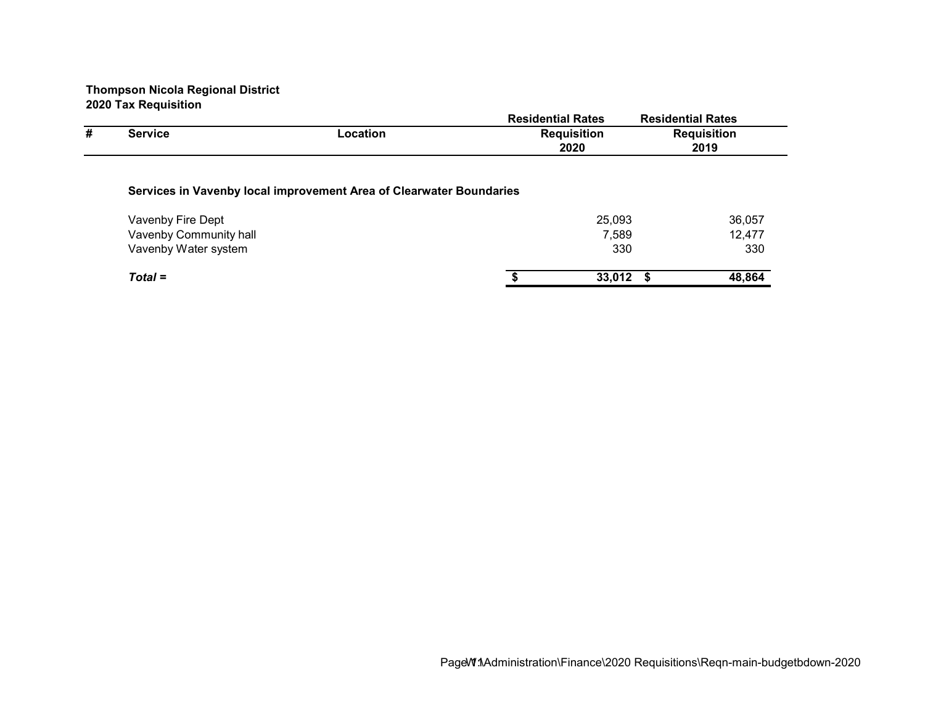|   |                        |                                                                     | <b>Residential Rates</b> |             | <b>Residential Rates</b> |
|---|------------------------|---------------------------------------------------------------------|--------------------------|-------------|--------------------------|
| # | <b>Service</b>         | Location                                                            | <b>Requisition</b>       |             | <b>Requisition</b>       |
|   |                        |                                                                     | 2020                     |             | 2019                     |
|   |                        | Services in Vavenby local improvement Area of Clearwater Boundaries |                          |             |                          |
|   | Vavenby Fire Dept      |                                                                     |                          | 25,093      | 36,057                   |
|   | Vavenby Community hall |                                                                     |                          | 7,589       | 12,477                   |
|   | Vavenby Water system   |                                                                     |                          | 330         | 330                      |
|   | $Total =$              |                                                                     |                          | $33,012$ \$ | 48,864                   |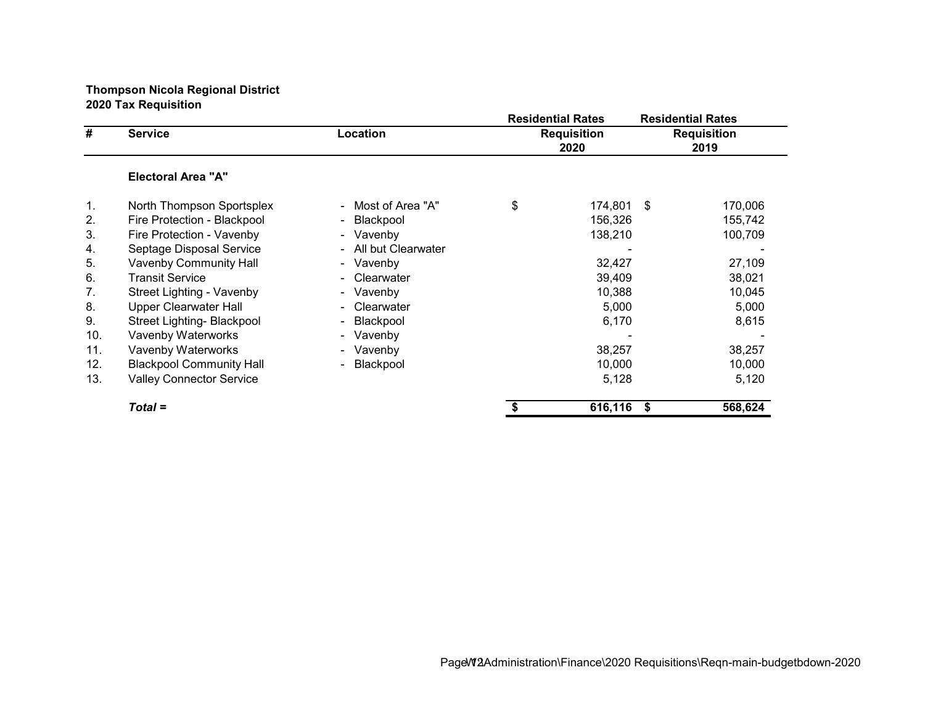|     |                                 |                          | <b>Residential Rates</b>   |      | <b>Residential Rates</b>   |
|-----|---------------------------------|--------------------------|----------------------------|------|----------------------------|
| #   | <b>Service</b>                  | Location                 | <b>Requisition</b><br>2020 |      | <b>Requisition</b><br>2019 |
|     | <b>Electoral Area "A"</b>       |                          |                            |      |                            |
| 1.  | North Thompson Sportsplex       | - Most of Area "A"       | \$<br>174,801              | - \$ | 170,006                    |
| 2.  | Fire Protection - Blackpool     | Blackpool<br>$\sim$      | 156,326                    |      | 155,742                    |
| 3.  | Fire Protection - Vavenby       | - Vavenby                | 138,210                    |      | 100,709                    |
| 4.  | Septage Disposal Service        | All but Clearwater<br>÷. |                            |      |                            |
| 5.  | <b>Vavenby Community Hall</b>   | - Vavenby                | 32,427                     |      | 27,109                     |
| 6.  | <b>Transit Service</b>          | Clearwater<br>÷.         | 39,409                     |      | 38,021                     |
| 7.  | Street Lighting - Vavenby       | - Vavenby                | 10,388                     |      | 10,045                     |
| 8.  | Upper Clearwater Hall           | Clearwater<br>÷          | 5,000                      |      | 5,000                      |
| 9.  | Street Lighting- Blackpool      | Blackpool<br>۰           | 6,170                      |      | 8,615                      |
| 10. | Vavenby Waterworks              | - Vavenby                |                            |      |                            |
| 11. | Vavenby Waterworks              | - Vavenby                | 38,257                     |      | 38,257                     |
| 12. | <b>Blackpool Community Hall</b> | Blackpool<br>٠           | 10,000                     |      | 10,000                     |
| 13. | <b>Valley Connector Service</b> |                          | 5,128                      |      | 5,120                      |
|     | $Total =$                       |                          | 616,116                    | -\$  | 568,624                    |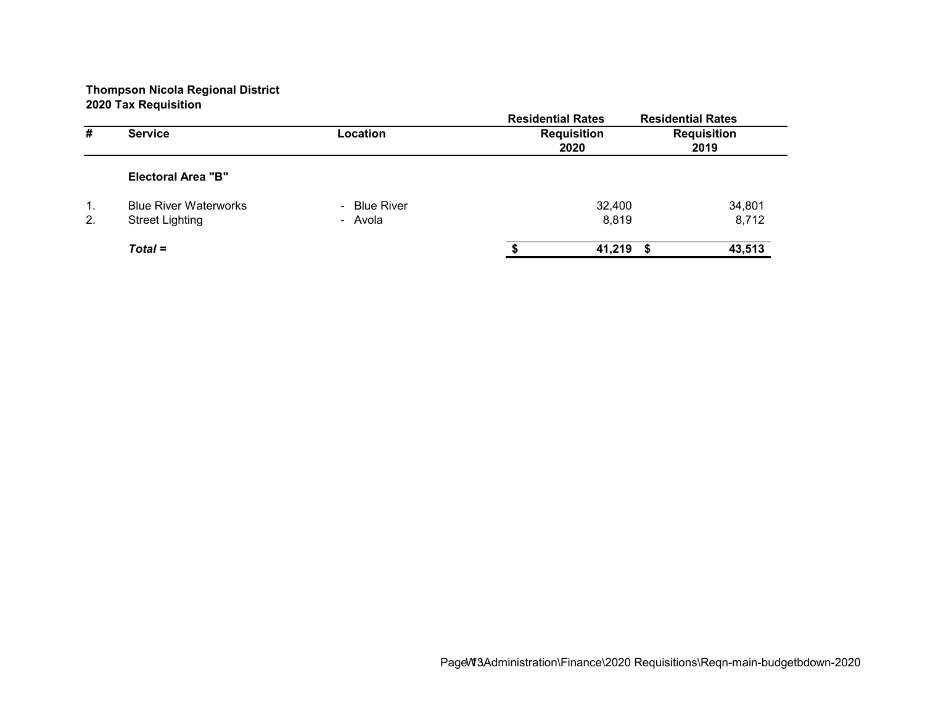|    |                              |              | <b>Residential Rates</b> | <b>Residential Rates</b> |
|----|------------------------------|--------------|--------------------------|--------------------------|
| #  | <b>Service</b>               | Location     | <b>Requisition</b>       | <b>Requisition</b>       |
|    |                              |              | 2020                     | 2019                     |
|    | <b>Electoral Area "B"</b>    |              |                          |                          |
| 1. | <b>Blue River Waterworks</b> | - Blue River | 32,400                   | 34,801                   |
| 2. | <b>Street Lighting</b>       | - Avola      | 8,819                    | 8,712                    |
|    | $Total =$                    |              | 41,219                   | 43,513                   |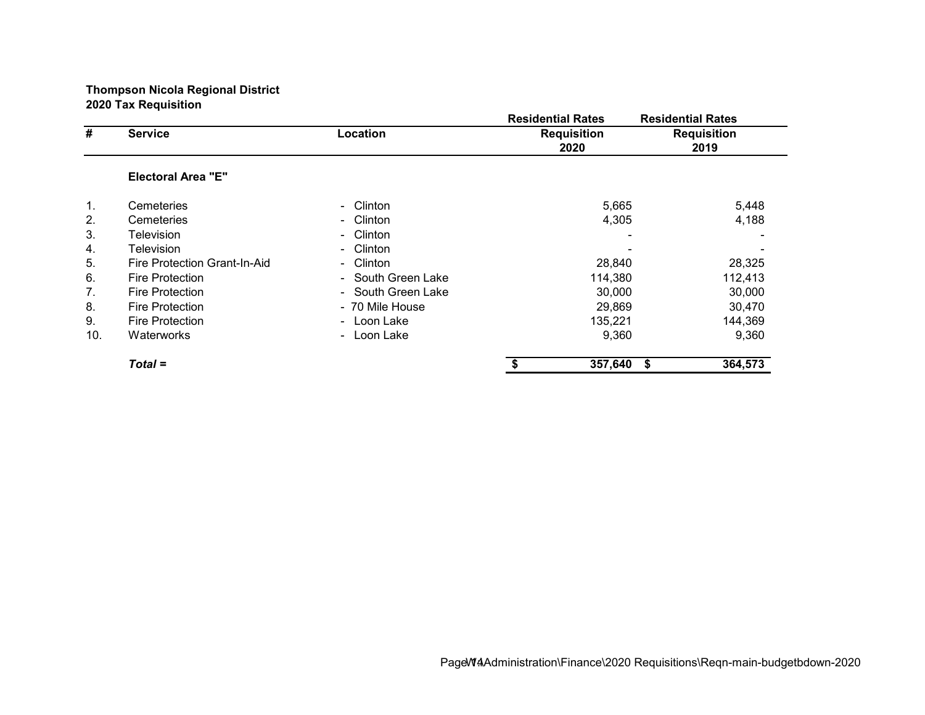|     |                              |                           | <b>Residential Rates</b> |                            | <b>Residential Rates</b>   |
|-----|------------------------------|---------------------------|--------------------------|----------------------------|----------------------------|
| #   | <b>Service</b>               | Location                  |                          | <b>Requisition</b><br>2020 | <b>Requisition</b><br>2019 |
|     | <b>Electoral Area "E"</b>    |                           |                          |                            |                            |
| 1.  | Cemeteries                   | Clinton<br>$\sim$         |                          | 5,665                      | 5,448                      |
| 2.  | Cemeteries                   | Clinton<br>$\sim$         |                          | 4,305                      | 4,188                      |
| 3.  | Television                   | Clinton<br>$\sim$         |                          |                            |                            |
| 4.  | Television                   | Clinton<br>$\blacksquare$ |                          |                            |                            |
| 5.  | Fire Protection Grant-In-Aid | Clinton<br>$\blacksquare$ |                          | 28,840                     | 28,325                     |
| 6.  | <b>Fire Protection</b>       | - South Green Lake        |                          | 114,380                    | 112,413                    |
| 7.  | <b>Fire Protection</b>       | - South Green Lake        |                          | 30,000                     | 30,000                     |
| 8.  | <b>Fire Protection</b>       | - 70 Mile House           |                          | 29,869                     | 30,470                     |
| 9.  | <b>Fire Protection</b>       | - Loon Lake               |                          | 135,221                    | 144,369                    |
| 10. | Waterworks                   | - Loon Lake               |                          | 9,360                      | 9,360                      |
|     | $Total =$                    |                           |                          | 357,640                    | 364,573<br>\$              |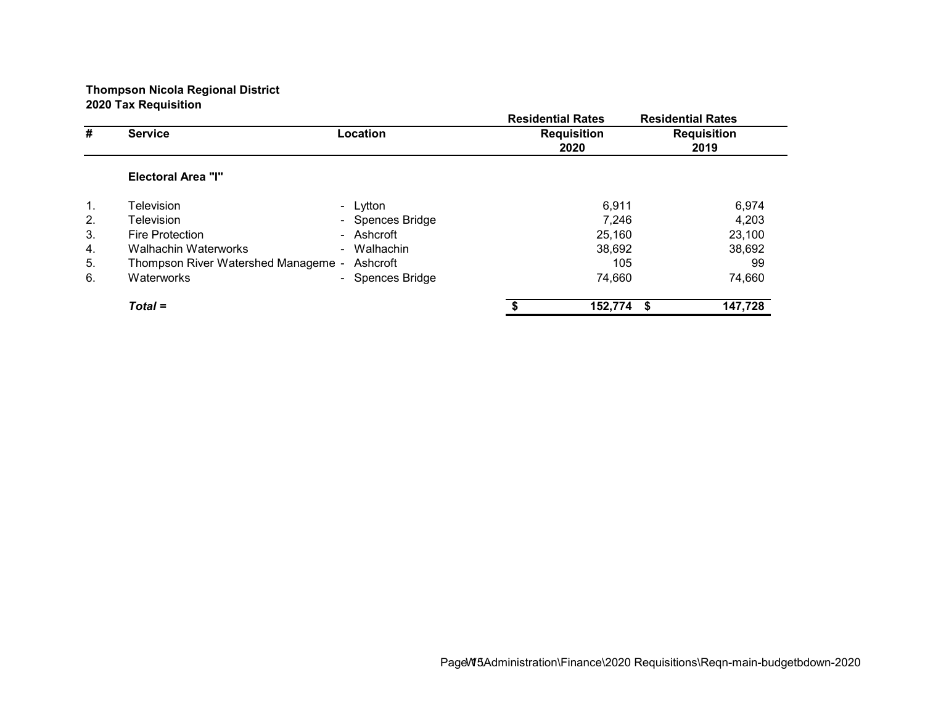|                |                                     |                  |                                                                                                               | <b>Residential Rates</b>   |
|----------------|-------------------------------------|------------------|---------------------------------------------------------------------------------------------------------------|----------------------------|
| #              | <b>Service</b>                      | Location         | <b>Residential Rates</b><br><b>Requisition</b><br>2020<br>6,911<br>7.246<br>25,160<br>38,692<br>105<br>74,660 | <b>Requisition</b>         |
|                |                                     |                  |                                                                                                               | 2019                       |
|                | <b>Electoral Area "I"</b>           |                  |                                                                                                               |                            |
| $\mathbf{1}$ . | Television                          | - Lytton         |                                                                                                               | 6,974                      |
| 2.             | Television                          | - Spences Bridge |                                                                                                               | 4,203                      |
| 3.             | <b>Fire Protection</b>              | - Ashcroft       |                                                                                                               | 23,100                     |
| 4.             | <b>Walhachin Waterworks</b>         | - Walhachin      |                                                                                                               | 38,692                     |
| 5.             | Thompson River Watershed Manageme - | Ashcroft         |                                                                                                               | 99                         |
| 6.             | Waterworks                          | - Spences Bridge |                                                                                                               | 74,660                     |
|                | $Total =$                           |                  |                                                                                                               | 147,728<br>152,774<br>- \$ |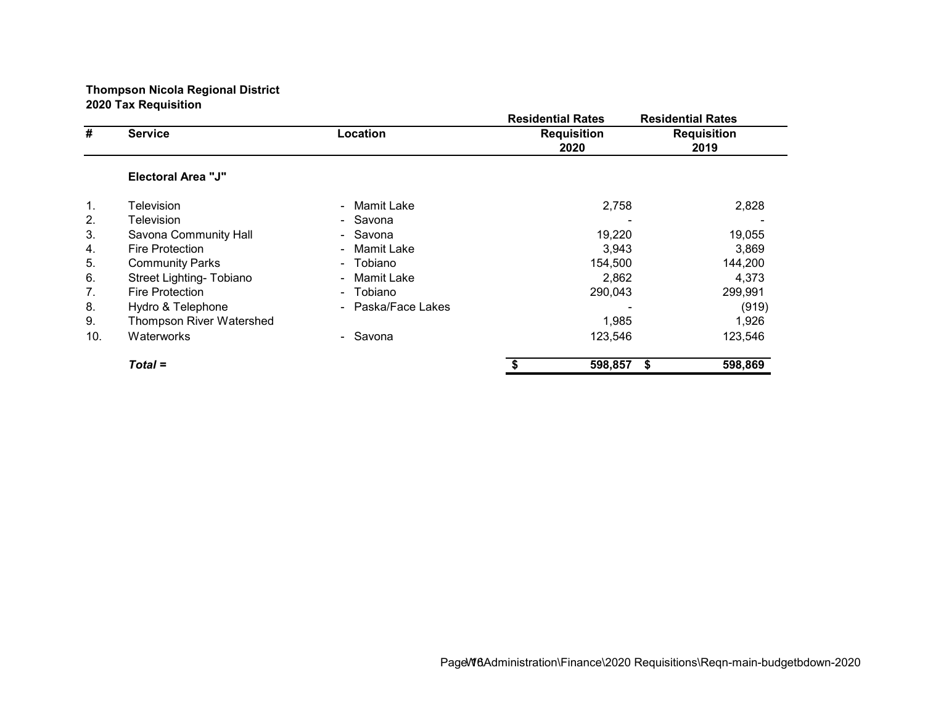|                                  |                           |                      | <b>Residential Rates</b>   | <b>Residential Rates</b>   |
|----------------------------------|---------------------------|----------------------|----------------------------|----------------------------|
| #                                | <b>Service</b>            | Location             | <b>Requisition</b><br>2020 | <b>Requisition</b><br>2019 |
|                                  | <b>Electoral Area "J"</b> |                      |                            |                            |
| 1.                               | Television                | - Mamit Lake         | 2,758                      | 2,828                      |
| 2.                               | Television                | - Savona             |                            |                            |
| 3.                               | Savona Community Hall     | - Savona             | 19,220                     | 19,055                     |
| 4.                               | <b>Fire Protection</b>    | Mamit Lake<br>$\sim$ | 3,943                      | 3,869                      |
| 5.                               | <b>Community Parks</b>    | - Tobiano            | 154,500                    | 144,200                    |
| 6.                               | Street Lighting- Tobiano  | Mamit Lake<br>$\sim$ | 2,862                      | 4,373                      |
| $7_{\scriptscriptstyle{\ddots}}$ | <b>Fire Protection</b>    | - Tobiano            | 290,043                    | 299,991                    |
| 8.                               | Hydro & Telephone         | - Paska/Face Lakes   |                            | (919)                      |
| 9.                               | Thompson River Watershed  |                      | 1,985                      | 1,926                      |
| 10.                              | Waterworks                | - Savona             | 123,546                    | 123,546                    |
|                                  | $Total =$                 |                      | 598,857                    | 598,869<br>S               |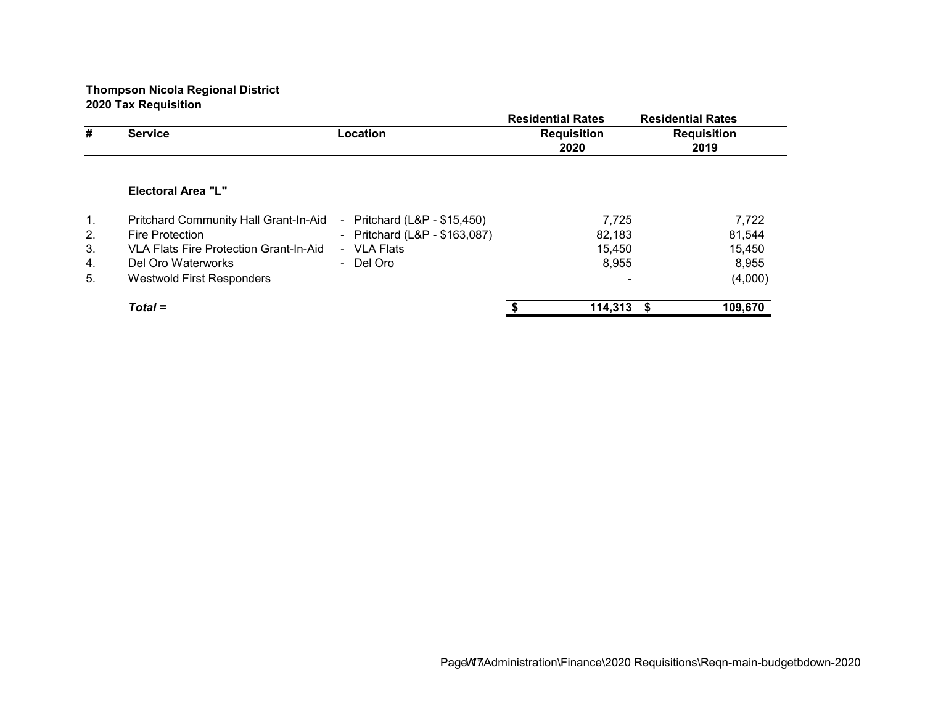|    |                                              |                                              | <b>Residential Rates</b>   | <b>Residential Rates</b>   |
|----|----------------------------------------------|----------------------------------------------|----------------------------|----------------------------|
| #  | <b>Service</b>                               | Location                                     | <b>Requisition</b><br>2020 | <b>Requisition</b><br>2019 |
|    |                                              |                                              |                            |                            |
|    | Electoral Area "L"                           |                                              |                            |                            |
| 1. | <b>Pritchard Community Hall Grant-In-Aid</b> | Pritchard (L&P - \$15,450)<br>$\blacksquare$ | 7,725                      | 7,722                      |
| 2. | <b>Fire Protection</b>                       | - Pritchard $(L&P - $163,087)$               | 82,183                     | 81,544                     |
| 3. | VLA Flats Fire Protection Grant-In-Aid       | - VLA Flats                                  | 15,450                     | 15,450                     |
| 4. | Del Oro Waterworks                           | - Del Oro                                    | 8,955                      | 8,955                      |
| 5. | Westwold First Responders                    |                                              |                            | (4,000)                    |
|    | $Total =$                                    |                                              | 114,313                    | 109,670<br>- \$            |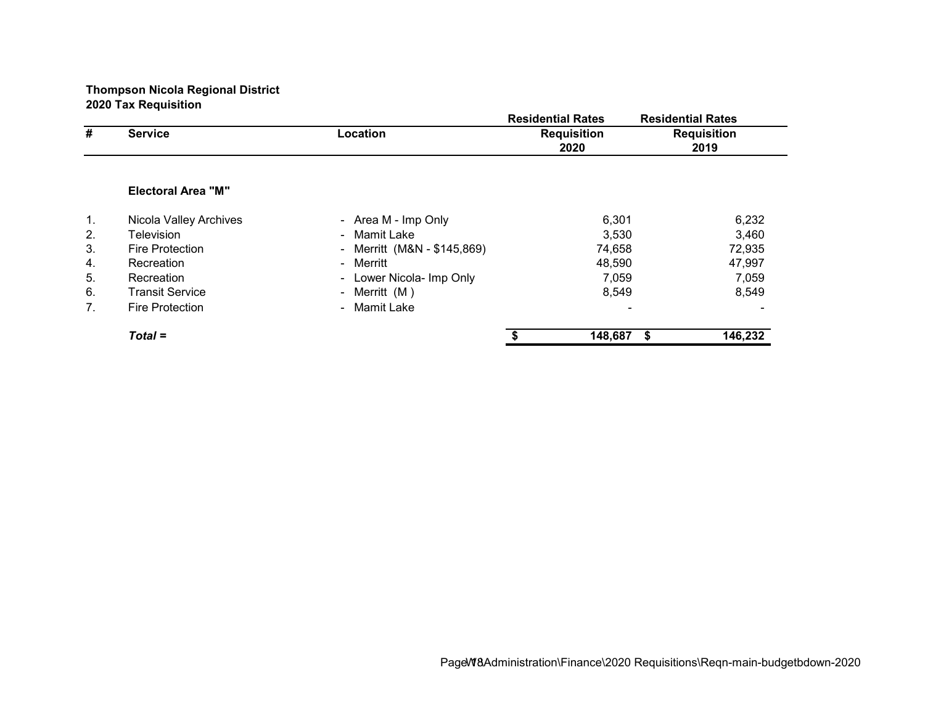|    |                           |                                          | <b>Residential Rates</b>   | <b>Residential Rates</b>   |
|----|---------------------------|------------------------------------------|----------------------------|----------------------------|
| #  | <b>Service</b>            | Location                                 | <b>Requisition</b><br>2020 | <b>Requisition</b><br>2019 |
|    |                           |                                          |                            |                            |
|    | <b>Electoral Area "M"</b> |                                          |                            |                            |
| 1. | Nicola Valley Archives    | - Area M - Imp Only                      | 6,301                      | 6,232                      |
| 2. | Television                | - Mamit Lake                             | 3,530                      | 3,460                      |
| 3. | <b>Fire Protection</b>    | Merritt (M&N - \$145,869)<br>$\sim$      | 74,658                     | 72,935                     |
| 4. | Recreation                | - Merritt                                | 48,590                     | 47,997                     |
| 5. | Recreation                | Lower Nicola- Imp Only<br>$\blacksquare$ | 7,059                      | 7,059                      |
| 6. | <b>Transit Service</b>    | Merritt (M)<br>$\sim$                    | 8,549                      | 8,549                      |
| 7. | <b>Fire Protection</b>    | Mamit Lake<br>$\sim$                     |                            |                            |
|    | $Total =$                 |                                          | 148,687                    | 146,232<br>- \$            |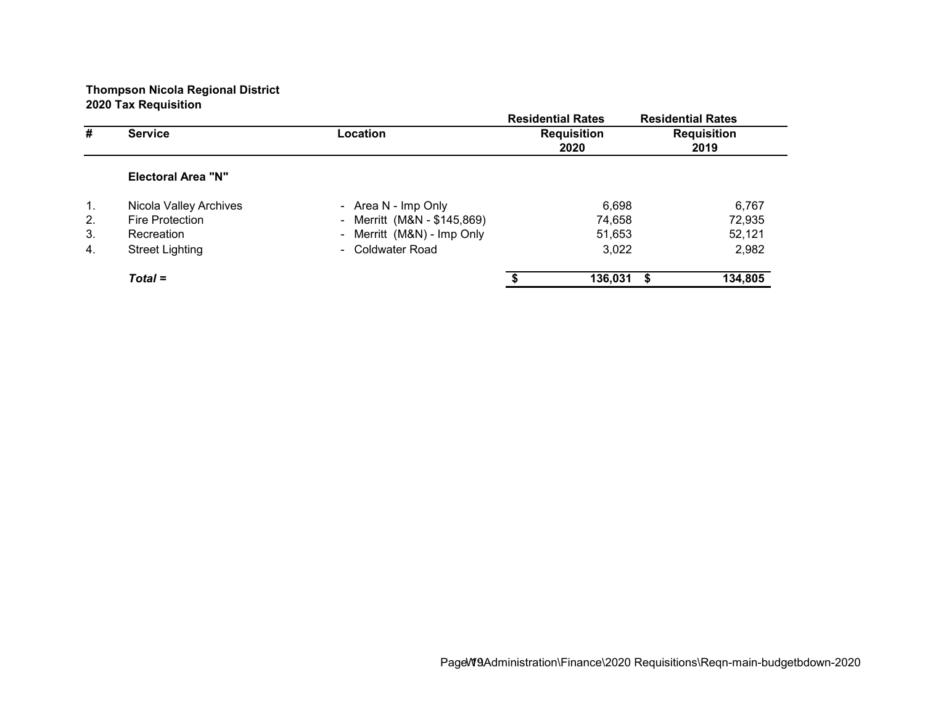|                |                           |                             | <b>Residential Rates</b> | <b>Residential Rates</b> |
|----------------|---------------------------|-----------------------------|--------------------------|--------------------------|
| #              | <b>Service</b>            | Location                    | <b>Requisition</b>       | <b>Requisition</b>       |
|                |                           |                             | 2020                     | 2019                     |
|                | <b>Electoral Area "N"</b> |                             |                          |                          |
| 1.             | Nicola Valley Archives    | - Area N - Imp Only         | 6,698                    | 6,767                    |
| 2.             | <b>Fire Protection</b>    | - Merritt (M&N - \$145,869) | 74,658                   | 72,935                   |
| 3.             | Recreation                | - Merritt (M&N) - Imp Only  | 51,653                   | 52,121                   |
| $\mathbf{4}$ . | <b>Street Lighting</b>    | - Coldwater Road            | 3,022                    | 2,982                    |
|                | $Total =$                 |                             | 136,031                  | 134,805                  |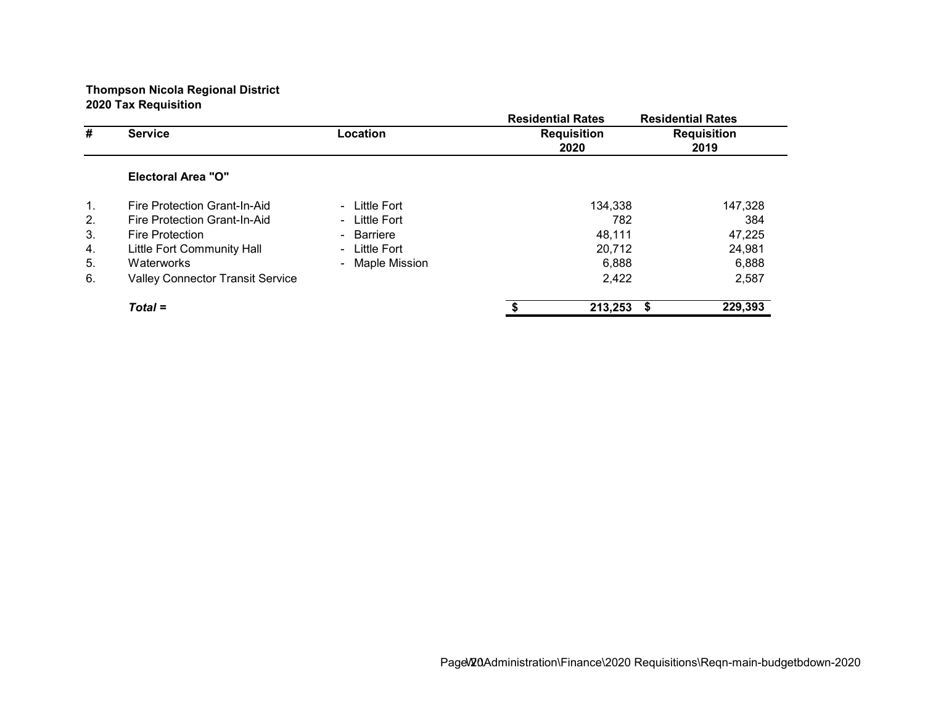|    |                                         |                 | <b>Residential Rates</b>   | <b>Residential Rates</b>   |
|----|-----------------------------------------|-----------------|----------------------------|----------------------------|
| #  | <b>Service</b>                          | Location        | <b>Requisition</b><br>2020 | <b>Requisition</b><br>2019 |
|    | <b>Electoral Area "O"</b>               |                 |                            |                            |
| 1. | Fire Protection Grant-In-Aid            | - Little Fort   | 134,338                    | 147,328                    |
| 2. | Fire Protection Grant-In-Aid            | - Little Fort   | 782                        | 384                        |
| 3. | <b>Fire Protection</b>                  | - Barriere      | 48.111                     | 47,225                     |
| 4. | Little Fort Community Hall              | - Little Fort   | 20,712                     | 24,981                     |
| 5. | Waterworks                              | - Maple Mission | 6,888                      | 6,888                      |
| 6. | <b>Valley Connector Transit Service</b> |                 | 2,422                      | 2,587                      |
|    | $Total =$                               |                 | 213,253                    | 229,393                    |